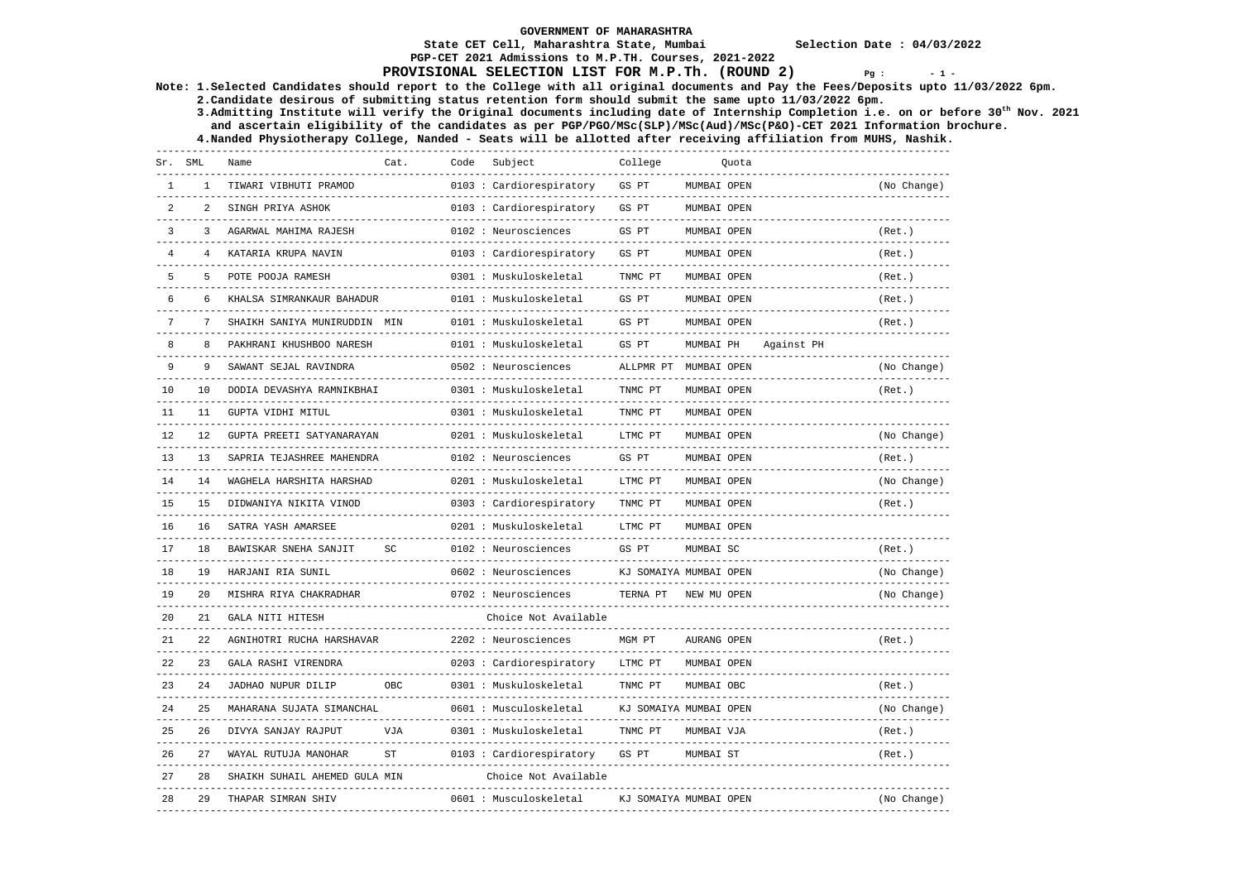## **PGP-CET 2021 Admissions to M.P.TH. Courses, 2021-2022 PROVISIONAL SELECTION LIST FOR M.P.Th. (ROUND 2)**  $Pq : 1 - 1$

**Note: 1.Selected Candidates should report to the College with all original documents and Pay the Fees/Deposits upto 11/03/2022 6pm.** 

 **2.Candidate desirous of submitting status retention form should submit the same upto 11/03/2022 6pm. 3.Admitting Institute will verify the Original documents including date of Internship Completion i.e. on or before 30th Nov. 2021 and ascertain eligibility of the candidates as per PGP/PGO/MSc(SLP)/MSc(Aud)/MSc(P&O)-CET 2021 Information brochure.** 

| Sr. SML        |                | Name                                  | Cat. | Code | Subject                                           | College                |                  | Ouota      |                             |
|----------------|----------------|---------------------------------------|------|------|---------------------------------------------------|------------------------|------------------|------------|-----------------------------|
| $\mathbf{1}$   | $\mathbf{1}$   | TIWARI VIBHUTI PRAMOD                 |      |      | 0103 : Cardiorespiratory                          | GS PT                  | MUMBAI OPEN      |            | (No Change)<br>---------    |
| $\mathfrak{D}$ | $\mathfrak{D}$ | SINGH PRIYA ASHOK                     |      |      | 0103 : Cardiorespiratory                          | GS PT                  | MUMBAI OPEN      |            |                             |
| 3              | 3              | AGARWAL MAHIMA RAJESH                 |      |      | 0102 : Neurosciences                              | GS PT                  | MUMBAI OPEN      |            | (Ret.)                      |
| $\overline{4}$ |                | KATARIA KRUPA NAVIN<br>-------------- |      |      | 0103 : Cardiorespiratory<br>--------------------- | GS PT                  | MUMBAI OPEN      |            | (Ret.)                      |
| 5              |                | POTE POOJA RAMESH                     |      |      | 0301 : Muskuloskeletal                            | TNMC PT                | MUMBAI OPEN      |            | (Ret.)                      |
| 6              | 6              | KHALSA SIMRANKAUR BAHADUR             |      |      | 0101 : Muskuloskeletal                            | GS PT                  | MUMBAI OPEN      |            | (Ret.)                      |
| $\overline{7}$ | 7              | SHAIKH SANIYA MUNIRUDDIN MIN          |      |      | 0101 : Muskuloskeletal                            | GS PT                  | MUMBAI OPEN      |            | (Ret.)                      |
| 8              |                | PAKHRANI KHUSHBOO NARESH              |      |      | 0101 : Muskuloskeletal                            | GS PT                  | MUMBAI PH        | Against PH |                             |
| 9              | 9              | SAWANT SEJAL RAVINDRA                 |      |      | 0502 : Neurosciences                              | ALLPMR PT              | MUMBAI OPEN      |            | (No Change)                 |
| 10             | 10             | DODIA DEVASHYA RAMNIKBHAI             |      |      | 0301 : Muskuloskeletal                            | TNMC PT                | MUMBAI OPEN      |            | (Ret.)                      |
| 11             | 11             | GUPTA VIDHI MITUL                     |      |      | 0301 : Muskuloskeletal                            | TNMC PT                | MUMBAI OPEN      |            |                             |
| 12             | 12             | GUPTA PREETI SATYANARAYAN             |      |      | 0201 : Muskuloskeletal                            | LTMC PT                | MUMBAI OPEN      |            | (No Change)                 |
| 13             | 13             | SAPRIA TEJASHREE MAHENDRA             |      |      | 0102 : Neurosciences                              | GS PT                  | MUMBAI OPEN<br>. |            | (Ret.)<br>-------------     |
| 14             | 14             | WAGHELA HARSHITA HARSHAD              |      |      | 0201 : Muskuloskeletal                            | LTMC PT                | MUMBAI OPEN      |            | (No Change)                 |
| 15             | 1.5            | DIDWANIYA NIKITA VINOD                |      |      | 0303 : Cardiorespiratory                          | TNMC PT                | MUMBAI OPEN      |            | (Ret.)                      |
| 16             | 16             | SATRA YASH AMARSEE                    |      |      | 0201 : Muskuloskeletal                            | LTMC PT                | MUMBAI OPEN      |            |                             |
| 17             | 18             | BAWISKAR SNEHA SANJIT                 | SC   |      | 0102 : Neurosciences                              | GS PT                  | MUMBAI SC        |            | (Ret.)                      |
| 18             | 19             | HARJANI RIA SUNIL                     |      |      | 0602 : Neurosciences                              | KJ SOMAIYA MUMBAI OPEN |                  |            | (No Change)<br>------------ |
| 19             | 20             | MISHRA RIYA CHAKRADHAR                |      |      | 0702 : Neurosciences                              | TERNA PT               | NEW MU OPEN      |            | (No Change)                 |
| 20             | 2.1            | <b>GALA NITI HITESH</b>               |      |      | Choice Not Available                              |                        |                  |            |                             |
| 21             | 2.2.           | AGNIHOTRI RUCHA HARSHAVAR             |      |      | 2202 : Neurosciences                              | MGM PT                 | AURANG OPEN      |            | (Ret.)                      |
| 2.2.           | 23             | GALA RASHI VIRENDRA                   |      |      | 0203 : Cardiorespiratory                          | LTMC PT                | MUMBAI OPEN      |            |                             |
| 2.3            | 24             | JADHAO NUPUR DILIP                    | OBC  |      | 0301 : Muskuloskeletal                            | TNMC PT                | MUMBAI OBC       |            | (Ret.)                      |
| 24             | 25             | MAHARANA SUJATA SIMANCHAL             |      |      | 0601 : Musculoskeletal                            | KJ SOMAIYA MUMBAI OPEN |                  |            | (No Change)                 |
| 25             | 26             | DIVYA SANJAY RAJPUT                   | VJA  |      | 0301 : Muskuloskeletal                            | TNMC PT                | MUMBAI VJA       |            | (Ret.)                      |
| 26             | 27             | WAYAL RUTUJA MANOHAR                  | ST   |      | 0103 : Cardiorespiratory                          | GS PT                  | MUMBAI ST        |            | (Ret.)                      |
| 27             | 28             | SHAIKH SUHAIL AHEMED GULA MIN         |      |      | Choice Not Available                              |                        |                  |            |                             |
| 28             | 29             | THAPAR SIMRAN SHIV                    |      |      | 0601 : Musculoskeletal                            | KJ SOMAIYA MUMBAI OPEN |                  |            | (No Change)<br>---------    |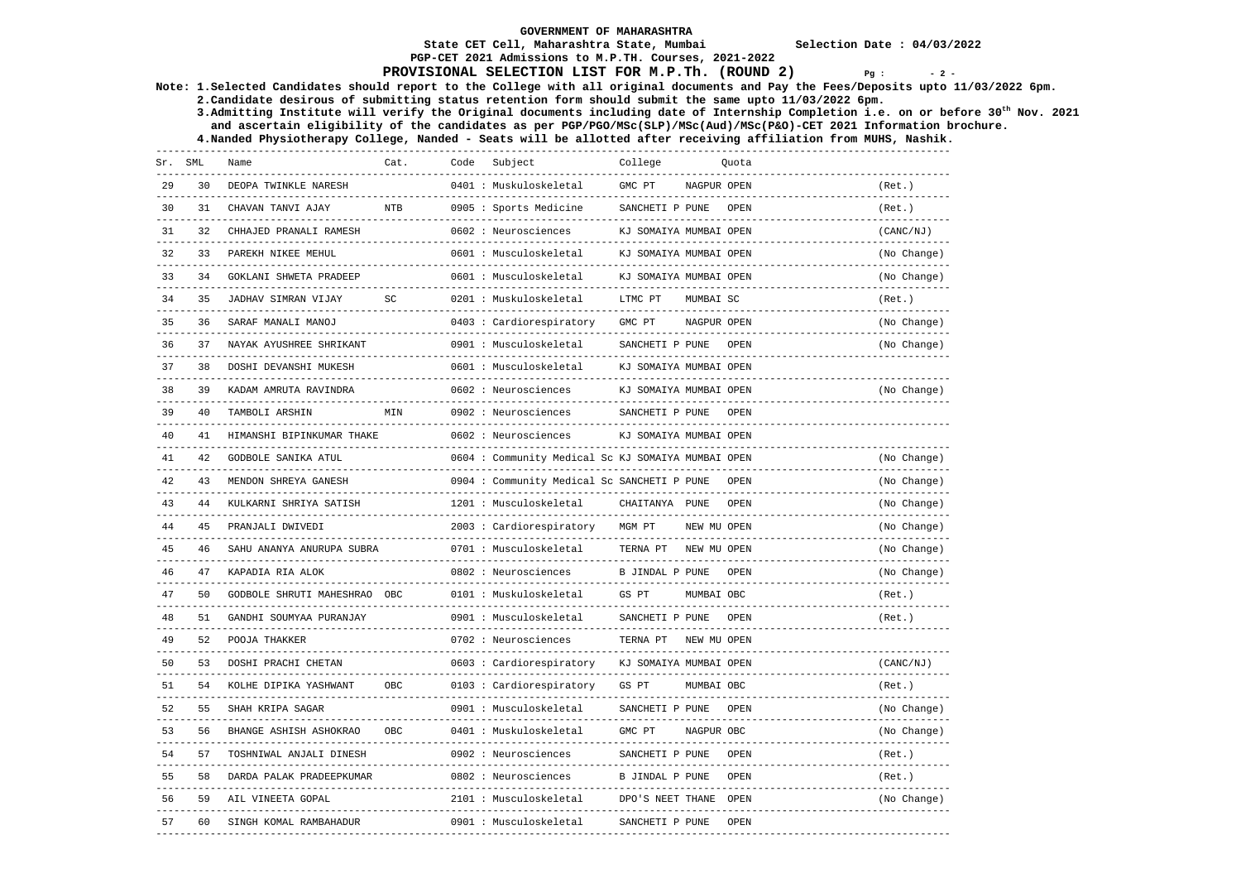## **PGP-CET 2021 Admissions to M.P.TH. Courses, 2021-2022 PROVISIONAL SELECTION LIST FOR M.P.Th. (ROUND 2)**  $Pq : 2 - 2$

**Note: 1.Selected Candidates should report to the College with all original documents and Pay the Fees/Deposits upto 11/03/2022 6pm.** 

 **2.Candidate desirous of submitting status retention form should submit the same upto 11/03/2022 6pm.** 

 **3.Admitting Institute will verify the Original documents including date of Internship Completion i.e. on or before 30th Nov. 2021 and ascertain eligibility of the candidates as per PGP/PGO/MSc(SLP)/MSc(Aud)/MSc(P&O)-CET 2021 Information brochure.** 

| 29<br>30<br>31<br>32<br>33<br>34 | 30<br>31<br>32<br>33<br>34 | DEOPA TWINKLE NARESH<br>----------------------<br>CHAVAN TANVI AJAY<br>CHHAJED PRANALI RAMESH<br>----------------------<br>PAREKH NIKEE MEHUL<br>---------------------- | <b>NTB</b> |  | ---------------<br>0401 : Muskuloskeletal               | GMC PT                                              | -----------<br>NAGPUR OPEN |                               | (Ret.)                      |
|----------------------------------|----------------------------|-------------------------------------------------------------------------------------------------------------------------------------------------------------------------|------------|--|---------------------------------------------------------|-----------------------------------------------------|----------------------------|-------------------------------|-----------------------------|
|                                  |                            |                                                                                                                                                                         |            |  |                                                         |                                                     |                            |                               | -------------               |
|                                  |                            |                                                                                                                                                                         |            |  | 0905 : Sports Medicine<br>____________________          | SANCHETI P PUNE                                     |                            | OPEN                          | (Ret.)                      |
|                                  |                            |                                                                                                                                                                         |            |  | 0602 : Neurosciences<br>---------------------           | KJ SOMAIYA MUMBAI OPEN<br>------------------------- |                            |                               | (CANC/NJ)                   |
|                                  |                            |                                                                                                                                                                         |            |  | 0601 : Musculoskeletal<br>-------------------           | KJ SOMAIYA MUMBAI OPEN<br>----------------------    |                            |                               | (No Change)<br>------------ |
|                                  |                            | GOKLANI SHWETA PRADEEP                                                                                                                                                  |            |  | 0601 : Musculoskeletal<br>---------------------         | KJ SOMAIYA MUMBAI OPEN                              |                            |                               | (No Change)<br>--------     |
|                                  | 35                         | JADHAV SIMRAN VIJAY<br>. _ _ _ _ _ _ _ _ _ _ _ _ _ _ _ _                                                                                                                | SC         |  | 0201 : Muskuloskeletal<br>----------------------------- | LTMC PT                                             | MUMBAI SC                  |                               | (Ret.)                      |
| 35                               | 36                         | SARAF MANALI MANOJ                                                                                                                                                      |            |  | 0403 : Cardiorespiratory                                | GMC PT                                              | NAGPUR OPEN                |                               | (No Change)                 |
| 36                               | 37                         | NAYAK AYUSHREE SHRIKANT                                                                                                                                                 |            |  | 0901 : Musculoskeletal<br>--------------------          | SANCHETI P PUNE                                     |                            | OPEN                          | (No Change)                 |
| 37                               | 38                         | DOSHI DEVANSHI MUKESH                                                                                                                                                   |            |  | 0601 : Musculoskeletal                                  | KJ SOMAIYA MUMBAI OPEN                              |                            |                               |                             |
| 38                               | 39                         | KADAM AMRUTA RAVINDRA                                                                                                                                                   |            |  | 0602 : Neurosciences<br>----------------                | KJ SOMAIYA MUMBAI OPEN                              |                            |                               | (No Change)                 |
| 39                               | 40                         | TAMBOLI ARSHIN                                                                                                                                                          | MIN        |  | 0902 : Neurosciences<br>----------------------          | SANCHETI P PUNE                                     |                            | OPEN                          |                             |
| 40                               | 41                         | HIMANSHI BIPINKUMAR THAKE                                                                                                                                               |            |  | 0602 : Neurosciences                                    | KJ SOMAIYA MUMBAI OPEN                              |                            |                               |                             |
| 41                               | 42                         | GODBOLE SANIKA ATUL<br>---------------------                                                                                                                            |            |  | 0604 : Community Medical Sc KJ SOMAIYA MUMBAI OPEN      |                                                     |                            | ----------------------------- | (No Change)                 |
| 42                               | 43                         | MENDON SHREYA GANESH                                                                                                                                                    |            |  | 0904 : Community Medical Sc SANCHETI P PUNE             |                                                     |                            | OPEN                          | (No Change)                 |
| 43                               | 44                         | KULKARNI SHRIYA SATISH<br>----------------                                                                                                                              |            |  | 1201 : Musculoskeletal<br>------------------------      | CHAITANYA PUNE                                      |                            | OPEN                          | (No Change)                 |
| 44                               | 45                         | PRANJALI DWIVEDI                                                                                                                                                        |            |  | 2003 : Cardiorespiratory                                | MGM PT                                              | NEW MU OPEN                |                               | (No Change)                 |
| 45                               | 46                         | SAHU ANANYA ANURUPA SUBRA<br>----------------------------                                                                                                               |            |  | 0701 : Musculoskeletal                                  | TERNA PT<br>----------------------                  | NEW MU OPEN                |                               | (No Change)<br>------------ |
| 46                               | 47                         | KAPADIA RIA ALOK                                                                                                                                                        |            |  | 0802 : Neurosciences                                    | B JINDAL P PUNE                                     |                            | OPEN                          | (No Change)                 |
| 47                               | 50                         | GODBOLE SHRUTI MAHESHRAO OBC                                                                                                                                            |            |  | 0101 : Muskuloskeletal                                  | GS PT                                               | MUMBAI OBC                 |                               | (Ret.)                      |
| 48                               | 51                         | GANDHI SOUMYAA PURANJAY                                                                                                                                                 |            |  | 0901 : Musculoskeletal                                  | SANCHETI P PUNE                                     |                            | OPEN                          | (Ret.)                      |
| 49                               | 52                         | POOJA THAKKER                                                                                                                                                           |            |  | 0702 : Neurosciences                                    | TERNA PT                                            | NEW MU OPEN                |                               |                             |
| 50                               | 53                         | DOSHI PRACHI CHETAN                                                                                                                                                     |            |  | 0603 : Cardiorespiratory                                | KJ SOMAIYA MUMBAI OPEN                              |                            |                               | (CANC/NJ)                   |
| 51                               | 54                         | KOLHE DIPIKA YASHWANT<br>------------------                                                                                                                             | OBC        |  | 0103 : Cardiorespiratory                                | GS PT                                               | MUMBAI OBC                 |                               | (Ret.)                      |
| 52                               | 55                         | SHAH KRIPA SAGAR                                                                                                                                                        |            |  | 0901 : Musculoskeletal                                  | SANCHETI P PUNE                                     |                            | OPEN                          | (No Change)                 |
| 53                               | 56                         | BHANGE ASHISH ASHOKRAO                                                                                                                                                  | OBC        |  | 0401 : Muskuloskeletal                                  | GMC PT                                              | NAGPUR OBC                 |                               | (No Change)                 |
| 54                               | 57                         | TOSHNIWAL ANJALI DINESH                                                                                                                                                 |            |  | 0902 : Neurosciences                                    | SANCHETI P PUNE                                     |                            | OPEN                          | (Ret.)                      |
| 55                               | 58                         | DARDA PALAK PRADEEPKUMAR<br>-------------                                                                                                                               |            |  | 0802 : Neurosciences                                    | B JINDAL P PUNE                                     |                            | OPEN                          | (Ret.)                      |
| 56                               | 59                         | AIL VINEETA GOPAL                                                                                                                                                       |            |  | 2101 : Musculoskeletal                                  | DPO'S NEET THANE                                    |                            | OPEN                          | (No Change)                 |
| 57                               | 60                         | SINGH KOMAL RAMBAHADUR                                                                                                                                                  |            |  | 0901 : Musculoskeletal                                  | SANCHETI P PUNE                                     |                            | OPEN                          |                             |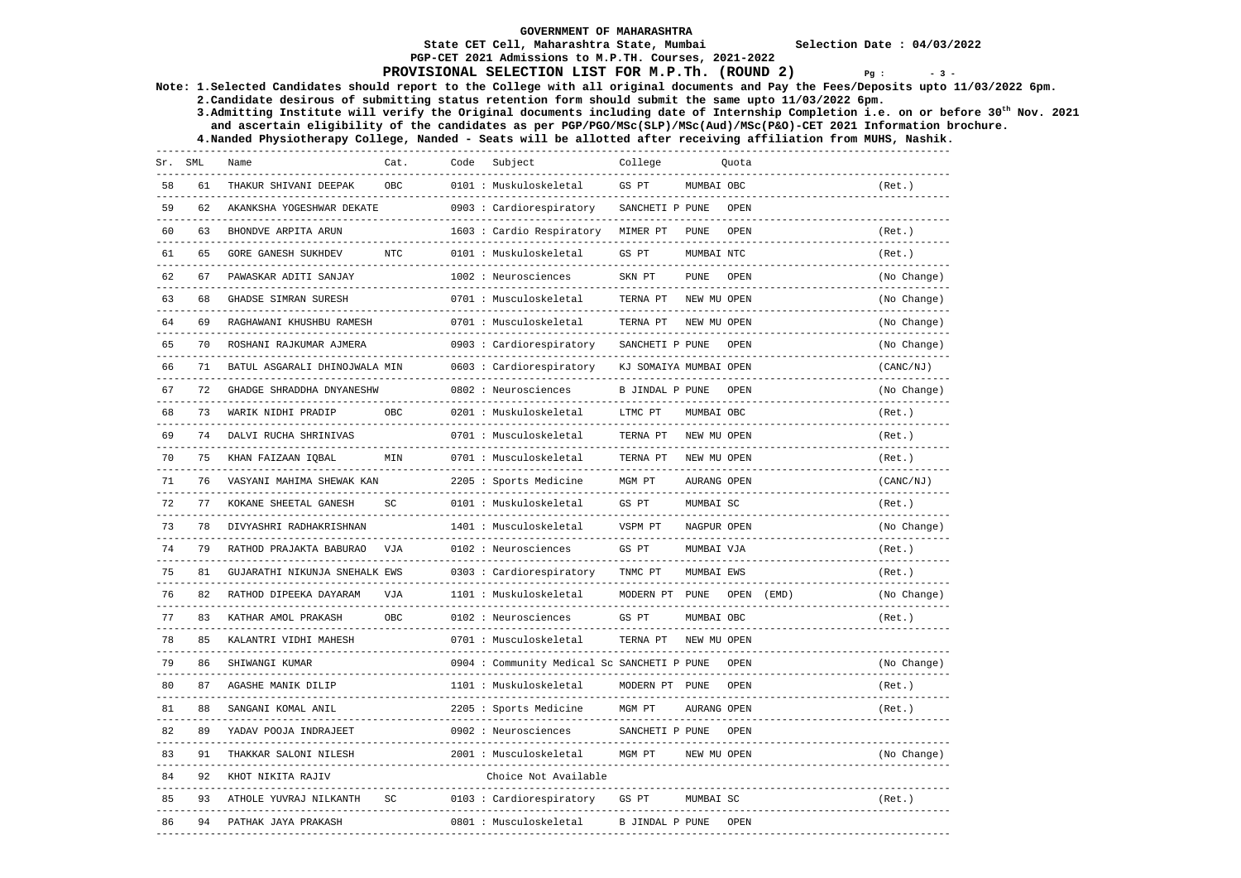## **PGP-CET 2021 Admissions to M.P.TH. Courses, 2021-2022 PROVISIONAL SELECTION LIST FOR M.P.Th. (ROUND 2)**  $Pq : 3 - 3$

**Note: 1.Selected Candidates should report to the College with all original documents and Pay the Fees/Deposits upto 11/03/2022 6pm.** 

 **2.Candidate desirous of submitting status retention form should submit the same upto 11/03/2022 6pm.** 

 **3.Admitting Institute will verify the Original documents including date of Internship Completion i.e. on or before 30th Nov. 2021 and ascertain eligibility of the candidates as per PGP/PGO/MSc(SLP)/MSc(Aud)/MSc(P&O)-CET 2021 Information brochure.** 

 **4.Nanded Physiotherapy College, Nanded - Seats will be allotted after receiving affiliation from MUHS, Nashik.** 

------------------------------------------------------------------------------------------------------------------------------------

|    | Sr. SML | Name                                       | Cat.       | Code | Subject                                     | College                |             | Ouota         |                            |
|----|---------|--------------------------------------------|------------|------|---------------------------------------------|------------------------|-------------|---------------|----------------------------|
| 58 | 61      | THAKUR SHIVANI DEEPAK<br>----------------- | OBC.       |      | 0101 : Muskuloskeletal                      | GS PT<br>----------    | MUMBAI OBC  |               | (Ret.)                     |
| 59 | 62      | AKANKSHA YOGESHWAR DEKATE                  |            |      | 0903: Cardiorespiratory                     | SANCHETI P PUNE        |             | OPEN          |                            |
| 60 | 63      | BHONDVE ARPITA ARUN                        |            |      | 1603 : Cardio Respiratory                   | MIMER PT               | <b>PUNE</b> | OPEN          | (Ret.)                     |
| 61 | 65      | <b>GORE GANESH SUKHDEV</b>                 | <b>NTC</b> |      | 0101 : Muskuloskeletal                      | GS PT                  | MUMBAI NTC  |               | (Ret.)                     |
| 62 | 67      | PAWASKAR ADITI SANJAY                      |            |      | 1002 : Neurosciences                        | SKN PT                 | <b>PUNE</b> | OPEN          | (No Change)<br>----------- |
| 63 | 68      | <b>GHADSE SIMRAN SURESH</b>                |            |      | 0701 : Musculoskeletal                      | TERNA PT               | NEW MU OPEN |               | (No Change)                |
| 64 | 69      | RAGHAWANI KHUSHBU RAMESH                   |            |      | 0701 : Musculoskeletal                      | TERNA PT               | NEW MU OPEN |               | (No Change)                |
| 65 | 70      | ROSHANI RAJKUMAR AJMERA                    |            |      | 0903: Cardiorespiratory                     | SANCHETI P PUNE        |             | OPEN          | (No Change)                |
| 66 | 71      | BATUL ASGARALI DHINOJWALA MIN              |            |      | 0603 : Cardiorespiratory                    | KJ SOMAIYA MUMBAI OPEN |             |               | (CANC/NJ)                  |
| 67 | 72      | GHADGE SHRADDHA DNYANESHW                  |            |      | 0802 : Neurosciences                        | <b>B JINDAL P PUNE</b> |             | OPEN          | (No Change)                |
| 68 | 73      | WARIK NIDHI PRADIP                         | OBC        |      | 0201 : Muskuloskeletal                      | LTMC PT                | MUMBAI OBC  |               | (Ret.)                     |
| 69 | 74      | DALVI RUCHA SHRINIVAS                      |            |      | 0701 : Musculoskeletal                      | TERNA PT               | NEW MU OPEN |               | (Ret.)                     |
| 70 | 75      | KHAN FAIZAAN IOBAL                         | MIN        |      | 0701 : Musculoskeletal                      | TERNA PT               | NEW MU OPEN |               | (Ret.)                     |
| 71 | 76      | VASYANI MAHIMA SHEWAK KAN                  |            |      | 2205 : Sports Medicine                      | MGM PT                 | AURANG OPEN |               | (CANC/NJ)                  |
| 72 | 77      | KOKANE SHEETAL GANESH                      | SC         |      | 0101 : Muskuloskeletal                      | GS PT                  | MUMBAI SC   |               | (Ret.)                     |
| 73 | 78      | DIVYASHRI RADHAKRISHNAN                    |            |      | 1401 : Musculoskeletal                      | VSPM PT                | NAGPUR OPEN |               | (No Change)                |
| 74 | 79      | RATHOD PRAJAKTA BABURAO                    | <b>VJA</b> |      | 0102 : Neurosciences                        | GS PT                  | MUMBAI VJA  |               | (Ret.)                     |
| 75 | 81      | GUJARATHI NIKUNJA SNEHALK EWS              |            |      | 0303 : Cardiorespiratory                    | TNMC PT                | MUMBAI EWS  |               | (Ret.)                     |
| 76 | 82      | RATHOD DIPEEKA DAYARAM                     | VJA        |      | 1101 : Muskuloskeletal                      | MODERN PT PUNE         |             | OPEN<br>(EMD) | (No Change)                |
| 77 | 83      | KATHAR AMOL PRAKASH                        | OBC        |      | $0102:$ Neurosciences                       | GS PT                  | MUMBAI OBC  |               | (Ret.)                     |
| 78 | 85      | KALANTRI VIDHI MAHESH                      |            |      | 0701 : Musculoskeletal                      | TERNA PT               | NEW MU OPEN |               |                            |
| 79 | 86      | SHIWANGI KUMAR                             |            |      | 0904 : Community Medical Sc SANCHETI P PUNE |                        |             | OPEN          | (No Change)                |
| 80 | 87      | AGASHE MANIK DILIP                         |            |      | 1101 : Muskuloskeletal                      | MODERN PT PUNE         |             | OPEN          | (Ret.)                     |
| 81 | 88      | SANGANI KOMAL ANIL                         |            |      | 2205 : Sports Medicine                      | MGM PT                 | AURANG OPEN |               | (Ret.)                     |
| 82 | 89      | YADAV POOJA INDRAJEET                      |            |      | 0902 : Neurosciences                        | SANCHETI P PUNE        |             | OPEN          |                            |
| 83 | 91      | THAKKAR SALONI NILESH                      |            |      | 2001 : Musculoskeletal                      | MGM PT                 | NEW MU OPEN |               | (No Change)                |
| 84 | 92      | KHOT NIKITA RAJIV                          |            |      | Choice Not Available                        |                        |             |               |                            |
| 85 | 93      | ATHOLE YUVRAJ NILKANTH                     | SC         |      | 0103 : Cardiorespiratory                    | GS PT                  | MUMBAI SC   |               | (Ret.)                     |
| 86 | 94      | PATHAK JAYA PRAKASH                        |            |      | 0801 : Musculoskeletal                      | B JINDAL P PUNE        |             | OPEN          |                            |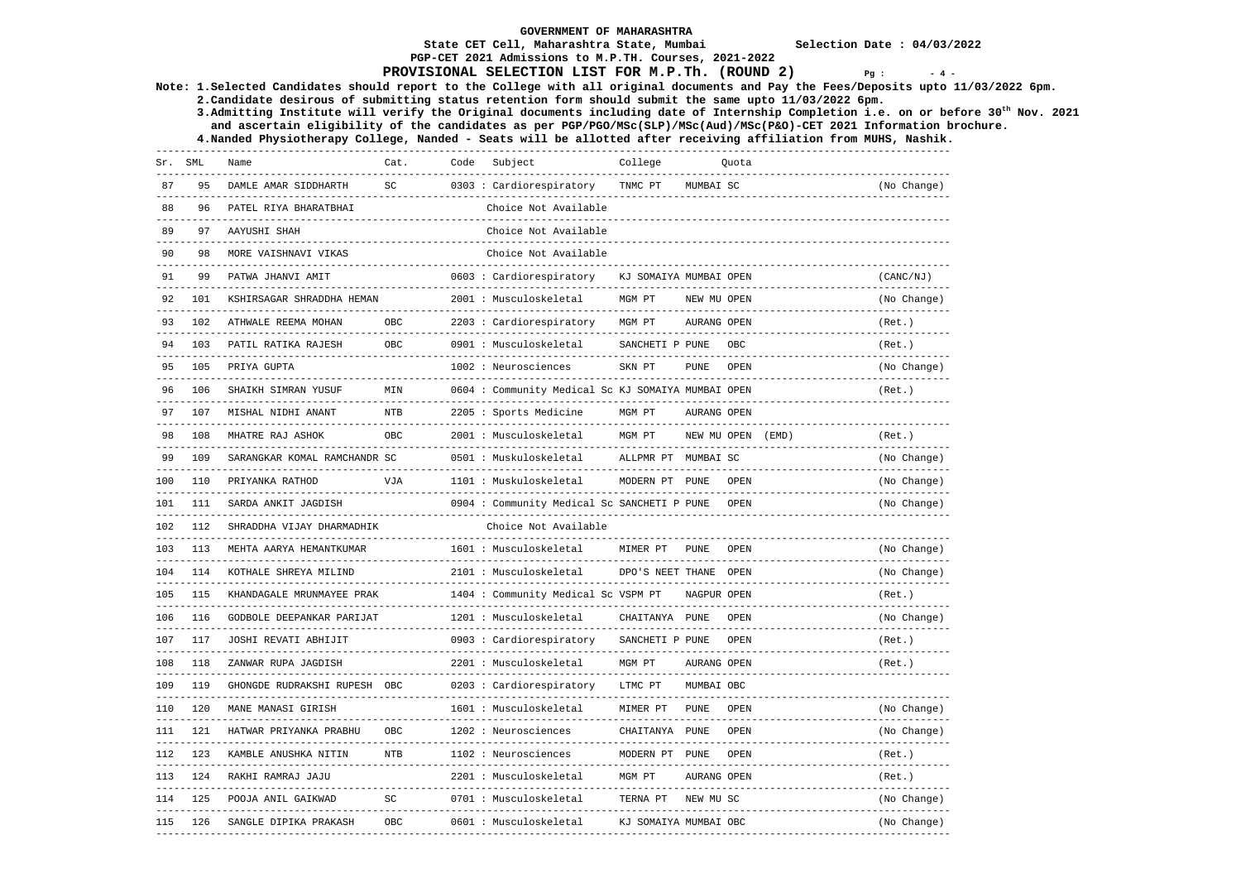## **PGP-CET 2021 Admissions to M.P.TH. Courses, 2021-2022 PROVISIONAL SELECTION LIST FOR M.P.Th. (ROUND 2)**  $Pq : 4 - q$

**Note: 1.Selected Candidates should report to the College with all original documents and Pay the Fees/Deposits upto 11/03/2022 6pm.** 

 **2.Candidate desirous of submitting status retention form should submit the same upto 11/03/2022 6pm. 3.Admitting Institute will verify the Original documents including date of Internship Completion i.e. on or before 30th Nov. 2021** 

 **and ascertain eligibility of the candidates as per PGP/PGO/MSc(SLP)/MSc(Aud)/MSc(P&O)-CET 2021 Information brochure.** 

| Sr. | SML | Name                                                | Cat.                    | Code | Subject<br>-------------------------------                  | College                |             | Ouota             |                               |
|-----|-----|-----------------------------------------------------|-------------------------|------|-------------------------------------------------------------|------------------------|-------------|-------------------|-------------------------------|
| 87  | 95  | DAMLE AMAR SIDDHARTH                                | SC                      |      | 0303 : Cardiorespiratory                                    | TNMC PT                | MUMBAI SC   |                   | (No Change)                   |
| 88  | 96  | PATEL RIYA BHARATBHAI                               |                         |      | Choice Not Available<br>_____________________               |                        |             |                   |                               |
| 89  | 97  | AAYUSHI SHAH                                        |                         |      | Choice Not Available                                        |                        |             |                   |                               |
| 90  | 98  | MORE VAISHNAVI VIKAS                                |                         |      | Choice Not Available<br>-------------------------           | ---------------------  |             |                   |                               |
| 91  | 99  | PATWA JHANVI AMIT                                   |                         |      | 0603 : Cardiorespiratory                                    | KJ SOMAIYA MUMBAI OPEN |             |                   | (CANC/NJ)                     |
| 92  | 101 | KSHIRSAGAR SHRADDHA HEMAN                           |                         |      | 2001 : Musculoskeletal                                      | MGM PT                 | NEW MU OPEN |                   | (No Change)                   |
| 93  | 102 | ATHWALE REEMA MOHAN                                 | OBC:                    |      | 2203 : Cardiorespiratory                                    | MGM PT                 | AURANG OPEN |                   | (Ret.)                        |
| 94  | 103 | PATIL RATIKA RAJESH<br>-----------------            | OBC                     |      | 0901 : Musculoskeletal                                      | SANCHETI P PUNE        |             | OBC               | (Ret.)                        |
| 95  | 105 | PRIYA GUPTA                                         |                         |      | 1002 : Neurosciences                                        | SKN PT                 | PUNE.       | OPEN              | (No Change)                   |
| 96  | 106 | SHAIKH SIMRAN YUSUF                                 | MIN                     |      | 0604 : Community Medical Sc KJ SOMAIYA MUMBAI OPEN          |                        |             |                   | (Ret.)                        |
| 97  | 107 | MISHAL NIDHI ANANT                                  | <b>NTB</b>              |      | 2205 : Sports Medicine                                      | MGM PT                 | AURANG OPEN |                   |                               |
| 98  | 108 | MHATRE RAJ ASHOK                                    | OBC                     |      | 2001 : Musculoskeletal                                      | MGM PT                 |             | NEW MU OPEN (EMD) | (Ret.)                        |
| 99  | 109 | SARANGKAR KOMAL RAMCHANDR SC                        |                         |      | 0501 : Muskuloskeletal                                      | ALLPMR PT              | MUMBAI SC   |                   | (No Change)                   |
| 100 | 110 | PRIYANKA RATHOD                                     | VJA                     |      | 1101 : Muskuloskeletal                                      | MODERN PT PUNE         |             | OPEN              | (No Change)                   |
| 101 | 111 | SARDA ANKIT JAGDISH                                 |                         |      | 0904 : Community Medical Sc SANCHETI P PUNE                 |                        |             | OPEN              | (No Change)                   |
| 102 | 112 | SHRADDHA VIJAY DHARMADHIK                           |                         |      | Choice Not Available<br>----------------------              |                        |             |                   |                               |
| 103 | 113 | MEHTA AARYA HEMANTKUMAR                             |                         |      | 1601 : Musculoskeletal<br>-------------------               | MIMER PT               | <b>PUNE</b> | OPEN              | (No Change)<br>-------------- |
| 104 | 114 | KOTHALE SHREYA MILIND                               |                         |      | 2101 : Musculoskeletal                                      | DPO'S NEET THANE       |             | OPEN              | (No Change)                   |
| 105 | 115 | KHANDAGALE MRUNMAYEE PRAK                           |                         |      | 1404 : Community Medical Sc VSPM PT<br>____________________ |                        | NAGPUR OPEN |                   | (Ret.)                        |
| 106 | 116 | GODBOLE DEEPANKAR PARIJAT<br>---------------------- |                         |      | 1201 : Musculoskeletal<br>-----------------------           | CHAITANYA PUNE         |             | OPEN              | (No Change)                   |
| 107 | 117 | JOSHI REVATI ABHIJIT<br>----------------------      |                         |      | 0903 : Cardiorespiratory<br>---------------------------     | SANCHETI P PUNE        |             | OPEN              | (Ret.)                        |
| 108 | 118 | ZANWAR RUPA JAGDISH                                 |                         |      | 2201 : Musculoskeletal                                      | MGM PT                 | AURANG OPEN |                   | (Ret.)                        |
| 109 | 119 | GHONGDE RUDRAKSHI RUPESH                            | OBC                     |      | 0203 : Cardiorespiratory                                    | LTMC PT                | MUMBAI OBC  |                   |                               |
| 110 | 120 | MANE MANASI GIRISH                                  |                         |      | ----------------<br>1601 : Musculoskeletal                  | MIMER PT               | <b>PUNE</b> | OPEN              | (No Change)                   |
| 111 | 121 | HATWAR PRIYANKA PRABHU                              | OBC                     |      | 1202 : Neurosciences                                        | CHAITANYA PUNE         |             | OPEN              | (No Change)                   |
| 112 | 123 | KAMBLE ANUSHKA NITIN                                | $- - - -$<br><b>NTB</b> |      | _________________<br>1102 : Neurosciences                   | MODERN PT PUNE         |             | OPEN              | (Ret.)                        |
| 113 | 124 | RAKHI RAMRAJ JAJU                                   |                         |      | 2201 : Musculoskeletal<br>---------------                   | MGM PT                 | AURANG OPEN |                   | (Ret.)                        |
| 114 | 125 | POOJA ANIL GAIKWAD                                  | SC                      |      | 0701 : Musculoskeletal                                      | TERNA PT               | NEW MU SC   |                   | (No Change)                   |
| 115 | 126 | SANGLE DIPIKA PRAKASH                               | OBC                     |      | 0601 : Musculoskeletal                                      | KJ SOMAIYA MUMBAI OBC  |             |                   | (No Change)                   |
|     |     |                                                     |                         |      |                                                             |                        |             |                   |                               |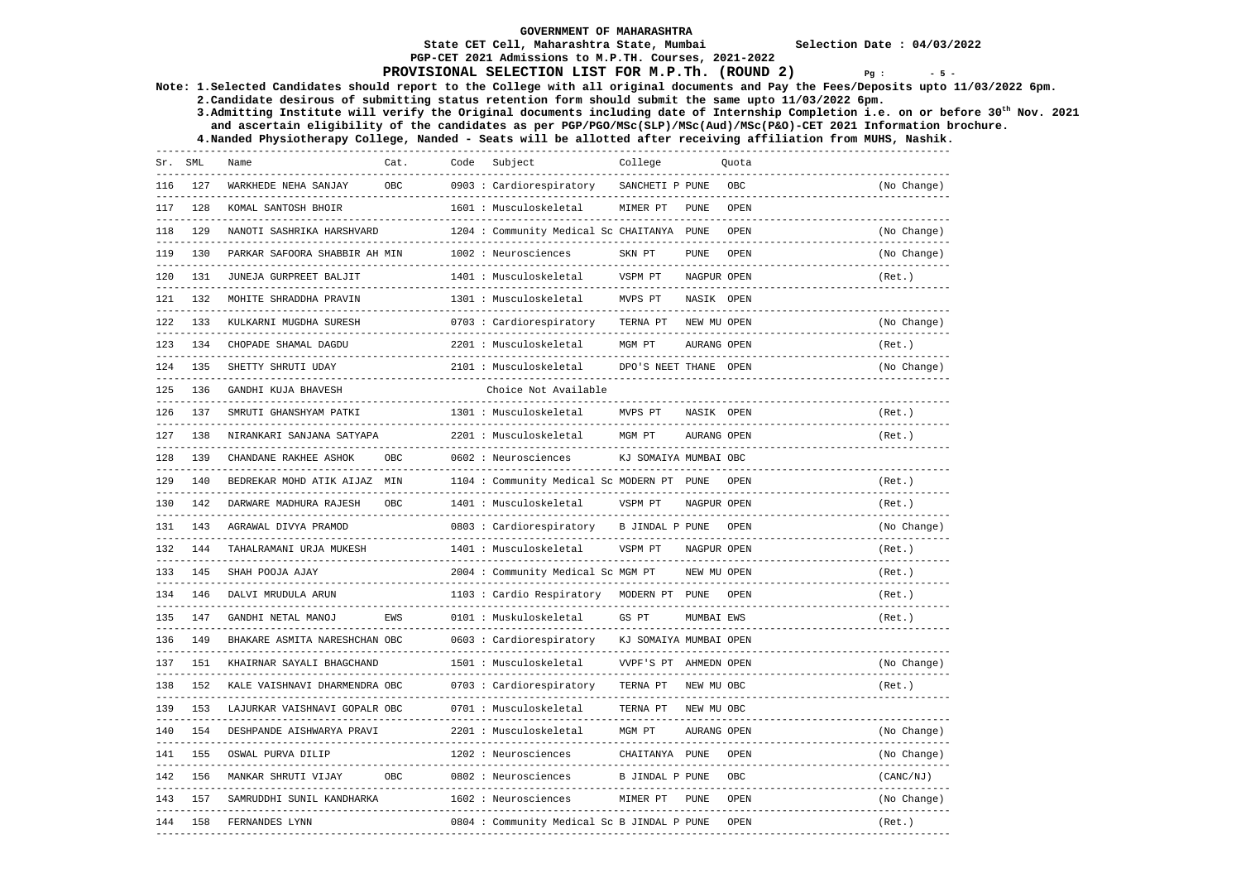## **PGP-CET 2021 Admissions to M.P.TH. Courses, 2021-2022 PROVISIONAL SELECTION LIST FOR M.P.Th. (ROUND 2)**  $Pq : 5 - 5$

**Note: 1.Selected Candidates should report to the College with all original documents and Pay the Fees/Deposits upto 11/03/2022 6pm.** 

 **2.Candidate desirous of submitting status retention form should submit the same upto 11/03/2022 6pm. 3.Admitting Institute will verify the Original documents including date of Internship Completion i.e. on or before 30th Nov. 2021 and ascertain eligibility of the candidates as per PGP/PGO/MSc(SLP)/MSc(Aud)/MSc(P&O)-CET 2021 Information brochure.** 

|     | Sr. SML | Name                                                  | Cat.       | Code | Subject                                                 | College                |             | Ouota                                      |                          |
|-----|---------|-------------------------------------------------------|------------|------|---------------------------------------------------------|------------------------|-------------|--------------------------------------------|--------------------------|
| 116 | 127     | WARKHEDE NEHA SANJAY                                  | OBC        |      | 0903 : Cardiorespiratory<br>--------------------------- | SANCHETI P PUNE        |             | OBC                                        | (No Change)              |
| 117 | 128     | KOMAL SANTOSH BHOIR                                   |            |      | 1601 : Musculoskeletal                                  | MIMER PT               | <b>PUNE</b> | OPEN                                       |                          |
| 118 | 129     | NANOTI SASHRIKA HARSHVARD                             |            |      | 1204 : Community Medical Sc CHAITANYA PUNE              |                        |             | OPEN<br>---------------------------------- | (No Change)              |
| 119 | 130     | PARKAR SAFOORA SHABBIR AH MIN                         |            |      | 1002 : Neurosciences                                    | SKN PT                 | <b>PUNE</b> | OPEN                                       | (No Change)              |
| 120 | 131     | JUNEJA GURPREET BALJIT                                |            |      | 1401 : Musculoskeletal<br>-------------------------     | VSPM PT                | NAGPUR OPEN |                                            | (Ret.)                   |
| 121 | 132     | MOHITE SHRADDHA PRAVIN                                |            |      | 1301 : Musculoskeletal                                  | MVPS PT                | NASIK OPEN  |                                            |                          |
| 122 | 133     | KULKARNI MUGDHA SURESH                                |            |      | 0703 : Cardiorespiratory                                | TERNA PT               | NEW MU OPEN |                                            | (No Change)              |
| 123 | 134     | CHOPADE SHAMAL DAGDU                                  |            |      | 2201 : Musculoskeletal<br>___________________________   | MGM PT                 | AURANG OPEN |                                            | (Ret.)                   |
| 124 | 135     | SHETTY SHRUTI UDAY<br>.                               |            |      | 2101 : Musculoskeletal                                  | DPO'S NEET THANE OPEN  |             |                                            | (No Change)<br>--------- |
| 125 | 136     | GANDHI KUJA BHAVESH                                   |            |      | Choice Not Available                                    |                        |             |                                            |                          |
| 126 | 137     | SMRUTI GHANSHYAM PATKI                                |            |      | 1301 : Musculoskeletal<br>-------------------------     | MVPS PT                | NASIK OPEN  |                                            | (Ret.)                   |
| 127 | 138     | NIRANKARI SANJANA SATYAPA<br>------------------------ |            |      | 2201 : Musculoskeletal<br>________________________      | MGM PT                 | AURANG OPEN |                                            | (Ret.)                   |
| 128 | 139     | CHANDANE RAKHEE ASHOK<br>-----------------------      | OBC        |      | 0602 : Neurosciences                                    | KJ SOMAIYA MUMBAI OBC  |             |                                            |                          |
| 129 | 140     | BEDREKAR MOHD ATIK AIJAZ MIN                          |            |      | 1104 : Community Medical Sc MODERN PT PUNE              |                        |             | OPEN                                       | (Ret.)                   |
| 130 | 142     | DARWARE MADHURA RAJESH<br>-------------------------   | OBC        |      | 1401 : Musculoskeletal                                  | VSPM PT                | NAGPUR OPEN |                                            | (Ret.)                   |
| 131 | 143     | AGRAWAL DIVYA PRAMOD                                  |            |      | 0803: Cardiorespiratory                                 | B JINDAL P PUNE        |             | OPEN                                       | (No Change)              |
| 132 | 144     | TAHALRAMANI URJA MUKESH                               |            |      | 1401 : Musculoskeletal                                  | VSPM PT                | NAGPUR OPEN |                                            | (Ret.)                   |
| 133 | 145     | SHAH POOJA AJAY                                       |            |      | 2004 : Community Medical Sc MGM PT                      |                        | NEW MU OPEN |                                            | (Ret.)                   |
| 134 | 146     | DALVI MRUDULA ARUN                                    |            |      | 1103 : Cardio Respiratory                               | MODERN PT PUNE         |             | OPEN                                       | (Ret.)                   |
| 135 | 147     | GANDHI NETAL MANOJ                                    | EWS        |      | 0101 : Muskuloskeletal                                  | GS PT                  | MUMBAI EWS  |                                            | (Ret.)                   |
| 136 | 149     | BHAKARE ASMITA NARESHCHAN OBC                         |            |      | 0603 : Cardiorespiratory                                | KJ SOMAIYA MUMBAI OPEN |             |                                            |                          |
| 137 | 151     | KHAIRNAR SAYALI BHAGCHAND                             |            |      | 1501 : Musculoskeletal                                  | VVPF'S PT AHMEDN OPEN  |             |                                            | (No Change)              |
| 138 | 152     | KALE VAISHNAVI DHARMENDRA OBC                         |            |      | 0703 : Cardiorespiratory                                | TERNA PT               | NEW MU OBC  |                                            | (Ret.)                   |
| 139 | 153     | LAJURKAR VAISHNAVI GOPALR OBC                         |            |      | 0701 : Musculoskeletal                                  | TERNA PT               | NEW MU OBC  |                                            |                          |
| 140 | 154     | DESHPANDE AISHWARYA PRAVI                             |            |      | 2201 : Musculoskeletal                                  | MGM PT                 | AURANG OPEN | ------------------------------             | (No Change)              |
| 141 | 155     | OSWAL PURVA DILIP                                     |            |      | 1202 : Neurosciences                                    | CHAITANYA PUNE         |             | OPEN                                       | (No Change)              |
| 142 | 156     | MANKAR SHRUTI VIJAY                                   | <b>OBC</b> |      | 0802 : Neurosciences                                    | B JINDAL P PUNE        |             | OBC                                        | (CANC/NJ)                |
| 143 | 157     | SAMRUDDHI SUNIL KANDHARKA                             |            |      | 1602 : Neurosciences                                    | MIMER PT               | <b>PUNE</b> | OPEN                                       | (No Change)              |
| 144 | 158     | FERNANDES LYNN                                        |            |      | 0804 : Community Medical Sc B JINDAL P PUNE             |                        |             | OPEN                                       | (Ret.)                   |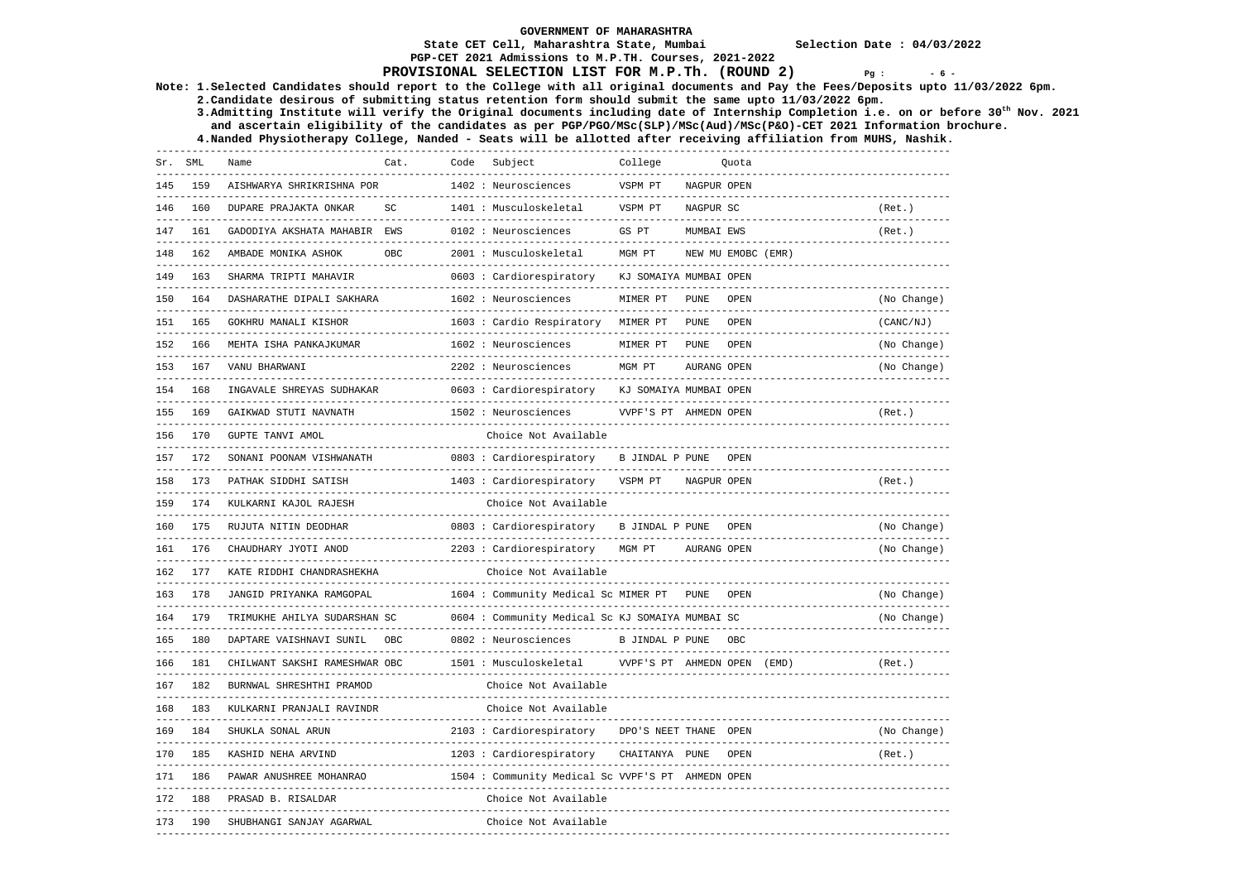## **PGP-CET 2021 Admissions to M.P.TH. Courses, 2021-2022 PROVISIONAL SELECTION LIST FOR M.P.Th. (ROUND 2)**  $Pq : 6 - 6 = 0$

**Note: 1.Selected Candidates should report to the College with all original documents and Pay the Fees/Deposits upto 11/03/2022 6pm.** 

 **2.Candidate desirous of submitting status retention form should submit the same upto 11/03/2022 6pm. 3.Admitting Institute will verify the Original documents including date of Internship Completion i.e. on or before 30th Nov. 2021 and ascertain eligibility of the candidates as per PGP/PGO/MSc(SLP)/MSc(Aud)/MSc(P&O)-CET 2021 Information brochure.** 

 **4.Nanded Physiotherapy College, Nanded - Seats will be allotted after receiving affiliation from MUHS, Nashik.** 

------------------------------------------------------------------------------------------------------------------------------------

| Sr. SML |     | Name                                                           | Cat. | Code | Subject                                                | College                     |                    | Ouota |                                    |                             |
|---------|-----|----------------------------------------------------------------|------|------|--------------------------------------------------------|-----------------------------|--------------------|-------|------------------------------------|-----------------------------|
| 145     | 159 | AISHWARYA SHRIKRISHNA POR                                      |      |      | 1402 : Neurosciences                                   | VSPM PT                     | NAGPUR OPEN        |       |                                    |                             |
| 146     | 160 | DUPARE PRAJAKTA ONKAR<br>_____________________________________ | SC   |      | 1401 : Musculoskeletal                                 | VSPM PT                     | NAGPUR SC          |       |                                    | (Ret.)                      |
| 147     | 161 | GADODIYA AKSHATA MAHABIR EWS                                   |      |      | 0102 : Neurosciences                                   | GS PT                       | MUMBAI EWS         |       |                                    | (Ret.)                      |
| 148     | 162 | AMBADE MONIKA ASHOK<br>--------------------------              | OBC  |      | 2001 : Musculoskeletal<br>---------------------------- | MGM PT                      | NEW MU EMOBC (EMR) |       | ---------------------------------- |                             |
| 149     | 163 | SHARMA TRIPTI MAHAVIR                                          |      |      | 0603 : Cardiorespiratory                               | KJ SOMAIYA MUMBAI OPEN      |                    |       |                                    |                             |
| 150     | 164 | DASHARATHE DIPALI SAKHARA                                      |      |      | 1602 : Neurosciences<br>-----------------------        | MIMER PT                    | <b>PUNE</b>        | OPEN  | --------------------------         | (No Change)<br>------------ |
| 151     | 165 | GOKHRU MANALI KISHOR                                           |      |      | 1603 : Cardio Respiratory                              | MIMER PT                    | ${\tt PUNE}$       | OPEN  |                                    | (CANC/NJ)                   |
| 152     | 166 | MEHTA ISHA PANKAJKUMAR                                         |      |      | 1602 : Neurosciences<br>------------------------       | MIMER PT                    | <b>PUNE</b>        | OPEN  |                                    | (No Change)                 |
| 153     | 167 | VANU BHARWANI                                                  |      |      | 2202 : Neurosciences                                   | MGM PT                      | AURANG OPEN        |       |                                    | (No Change)                 |
| 154     | 168 | INGAVALE SHREYAS SUDHAKAR                                      |      |      | 0603 : Cardiorespiratory                               | KJ SOMAIYA MUMBAI OPEN      |                    |       |                                    |                             |
| 155     | 169 | GAIKWAD STUTI NAVNATH                                          |      |      | 1502 : Neurosciences                                   | VVPF'S PT AHMEDN OPEN       |                    |       |                                    | (Ret.)                      |
| 156     | 170 | GUPTE TANVI AMOL                                               |      |      | Choice Not Available                                   |                             |                    |       |                                    |                             |
| 157     | 172 | SONANI POONAM VISHWANATH                                       |      |      | 0803 : Cardiorespiratory                               | <b>B JINDAL P PUNE</b>      |                    | OPEN  |                                    |                             |
| 158     | 173 | PATHAK SIDDHI SATISH                                           |      |      | 1403 : Cardiorespiratory                               | VSPM PT                     | NAGPUR OPEN        |       |                                    | (Ret.)                      |
| 159     | 174 | KULKARNI KAJOL RAJESH                                          |      |      | Choice Not Available                                   |                             |                    |       |                                    |                             |
| 160     | 175 | RUJUTA NITIN DEODHAR                                           |      |      | 0803: Cardiorespiratory                                | <b>B JINDAL P PUNE</b>      |                    | OPEN  |                                    | (No Change)                 |
| 161     | 176 | CHAUDHARY JYOTI ANOD                                           |      |      | 2203 : Cardiorespiratory                               | MGM PT                      | AURANG OPEN        |       |                                    | (No Change)                 |
| 162     | 177 | KATE RIDDHI CHANDRASHEKHA                                      |      |      | Choice Not Available                                   |                             |                    |       |                                    |                             |
| 163     | 178 | JANGID PRIYANKA RAMGOPAL                                       |      |      | 1604 : Community Medical Sc MIMER PT                   |                             | PUNE               | OPEN  |                                    | (No Change)                 |
| 164     | 179 | TRIMUKHE AHILYA SUDARSHAN SC                                   |      |      | 0604 : Community Medical Sc KJ SOMAIYA MUMBAI SC       |                             |                    |       |                                    | (No Change)                 |
| 165     | 180 | DAPTARE VAISHNAVI SUNIL                                        | OBC  |      | 0802 : Neurosciences                                   | <b>B JINDAL P PUNE</b>      |                    | OBC   |                                    |                             |
| 166     | 181 | CHILWANT SAKSHI RAMESHWAR OBC                                  |      |      | 1501 : Musculoskeletal                                 | VVPF'S PT AHMEDN OPEN (EMD) |                    |       |                                    | (Ret.)                      |
| 167     | 182 | BURNWAL SHRESHTHI PRAMOD                                       |      |      | Choice Not Available                                   |                             |                    |       |                                    |                             |
| 168     | 183 | KULKARNI PRANJALI RAVINDR                                      |      |      | Choice Not Available                                   |                             |                    |       |                                    |                             |
| 169     | 184 | SHUKLA SONAL ARUN                                              |      |      | 2103 : Cardiorespiratory                               | DPO'S NEET THANE OPEN       |                    |       |                                    | (No Change)                 |
| 170     | 185 | KASHID NEHA ARVIND                                             |      |      | 1203 : Cardiorespiratory                               | CHAITANYA PUNE              |                    | OPEN  |                                    | (Ret.)                      |
| 171     | 186 | PAWAR ANUSHREE MOHANRAO                                        |      |      | 1504 : Community Medical Sc VVPF'S PT AHMEDN OPEN      |                             |                    |       |                                    |                             |
| 172     | 188 | PRASAD B. RISALDAR                                             |      |      | Choice Not Available                                   |                             |                    |       |                                    |                             |
| 173     | 190 | SHUBHANGI SANJAY AGARWAL                                       |      |      | Choice Not Available                                   |                             |                    |       |                                    |                             |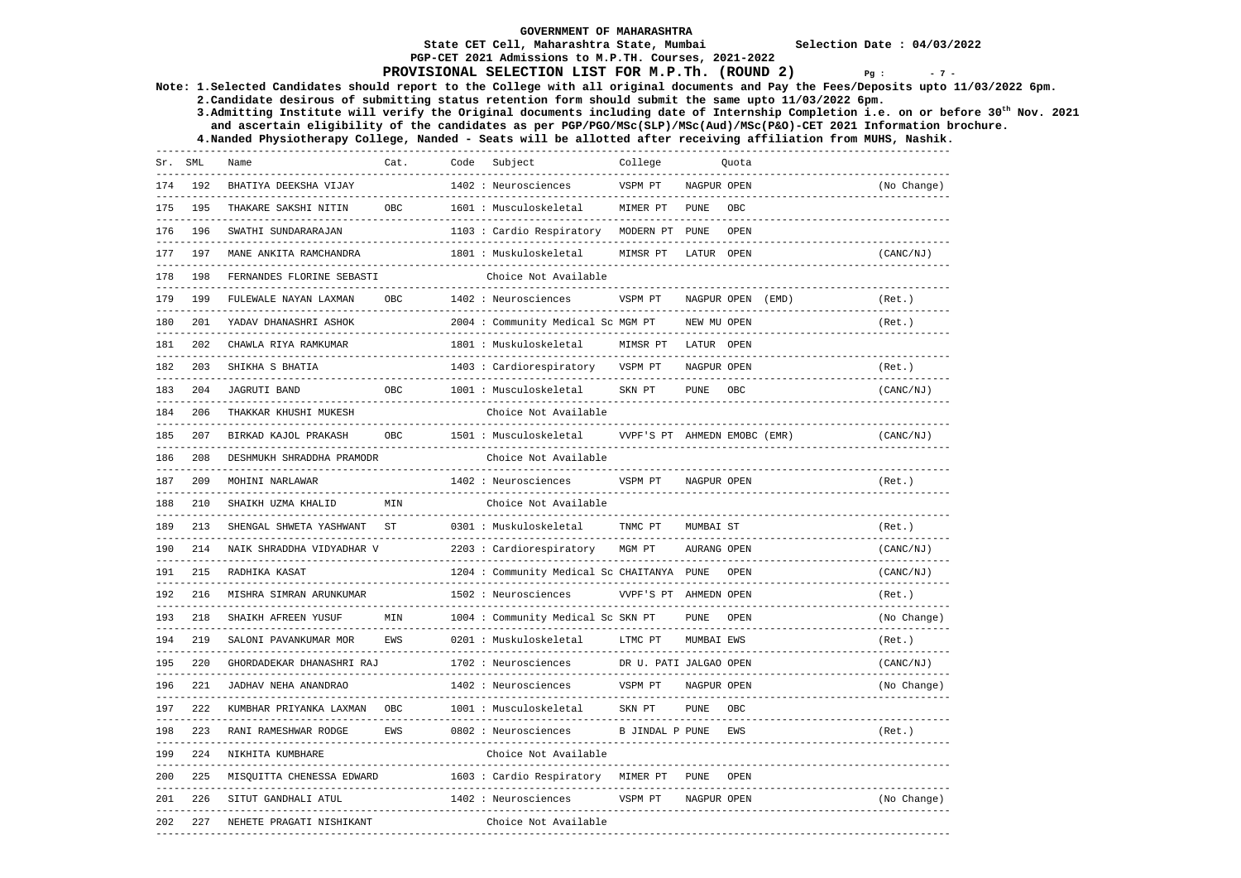## **PGP-CET 2021 Admissions to M.P.TH. Courses, 2021-2022 PROVISIONAL SELECTION LIST FOR M.P.Th. (ROUND 2)**  $Pq : 7 - q$

**Note: 1.Selected Candidates should report to the College with all original documents and Pay the Fees/Deposits upto 11/03/2022 6pm.** 

 **2.Candidate desirous of submitting status retention form should submit the same upto 11/03/2022 6pm. 3.Admitting Institute will verify the Original documents including date of Internship Completion i.e. on or before 30th Nov. 2021 and ascertain eligibility of the candidates as per PGP/PGO/MSc(SLP)/MSc(Aud)/MSc(P&O)-CET 2021 Information brochure.** 

|     | Sr. SML           | Name                                                          | Cat.       | Code | Subject                                                 | College                      |                              | Quota          |                               |
|-----|-------------------|---------------------------------------------------------------|------------|------|---------------------------------------------------------|------------------------------|------------------------------|----------------|-------------------------------|
| 174 | 192               | BHATIYA DEEKSHA VIJAY<br>------------------------------------ |            |      | 1402 : Neurosciences                                    | VSPM PT                      | NAGPUR OPEN<br>_____________ |                | (No Change)<br>-------------- |
| 175 | 195               | THAKARE SAKSHI NITIN                                          | OBC        |      | 1601 : Musculoskeletal                                  | MIMER PT                     | <b>PUNE</b>                  | OBC            |                               |
| 176 | 196               | SWATHI SUNDARARAJAN                                           |            |      | 1103 : Cardio Respiratory                               | MODERN PT PUNE               |                              | OPEN           |                               |
| 177 | 197               | MANE ANKITA RAMCHANDRA                                        |            |      | 1801 : Muskuloskeletal                                  | MIMSR PT                     | LATUR OPEN                   |                | (CANC/NJ)                     |
| 178 | 198               | FERNANDES FLORINE SEBASTI                                     |            |      | Choice Not Available                                    |                              |                              |                |                               |
| 179 | 199               | FULEWALE NAYAN LAXMAN                                         | OBC        |      | 1402 : Neurosciences                                    | VSPM PT                      | NAGPUR OPEN (EMD)            |                | (Ret.)                        |
| 180 | 201               | YADAV DHANASHRI ASHOK                                         |            |      | 2004 : Community Medical Sc MGM PT                      |                              | NEW MU OPEN<br>.             |                | (Ret.)                        |
| 181 | 202               | CHAWLA RIYA RAMKUMAR                                          |            |      | 1801 : Muskuloskeletal<br>-----------------             | MIMSR PT                     | LATUR OPEN<br>------------   |                |                               |
| 182 | 203<br>---------- | SHIKHA S BHATIA                                               |            |      | 1403 : Cardiorespiratory                                | VSPM PT                      | NAGPUR OPEN                  |                | (Ret.)                        |
| 183 | 204               | <b>JAGRUTI BAND</b>                                           | OBC        |      | 1001 : Musculoskeletal<br>______________________        | SKN PT                       | <b>PUNE</b>                  | OBC            | (CANC/NJ)                     |
| 184 | 206               | THAKKAR KHUSHI MUKESH                                         |            |      | Choice Not Available<br>----------------------------    |                              |                              |                |                               |
| 185 | 207               | BIRKAD KAJOL PRAKASH                                          | OBC        |      | 1501 : Musculoskeletal<br>--------------------          | VVPF'S PT AHMEDN EMOBC (EMR) |                              |                | (CANC/NJ)                     |
| 186 | 208               | DESHMUKH SHRADDHA PRAMODR                                     |            |      | Choice Not Available                                    |                              |                              |                |                               |
| 187 | 209               | MOHINI NARLAWAR                                               |            |      | 1402 : Neurosciences                                    | VSPM PT                      | NAGPUR OPEN                  |                | (Ret.)                        |
| 188 | 210               | SHAIKH UZMA KHALID                                            | MIN        |      | Choice Not Available                                    |                              |                              |                |                               |
| 189 | 213               | SHENGAL SHWETA YASHWANT                                       | <b>ST</b>  |      | 0301 : Muskuloskeletal<br>_____________________________ | TNMC PT                      | MUMBAI ST                    |                | (Ret.)                        |
| 190 | 214               | NAIK SHRADDHA VIDYADHAR V                                     |            |      | 2203 : Cardiorespiratory                                | MGM PT                       | AURANG OPEN                  |                | (CANC/NJ)                     |
| 191 | 215               | RADHIKA KASAT                                                 |            |      | 1204 : Community Medical Sc CHAITANYA PUNE              |                              |                              | OPEN           | (CANC/NJ)                     |
| 192 | 216               | MISHRA SIMRAN ARUNKUMAR                                       |            |      | 1502 : Neurosciences                                    | VVPF'S PT AHMEDN OPEN        |                              |                | (Ret.)                        |
| 193 | 218               | SHAIKH AFREEN YUSUF                                           | MIN        |      | 1004 : Community Medical Sc SKN PT                      |                              | <b>PUNE</b>                  | OPEN           | (No Change)                   |
| 194 | 219               | SALONI PAVANKUMAR MOR                                         | <b>EWS</b> |      | 0201 : Muskuloskeletal                                  | LTMC PT                      | MUMBAI EWS                   |                | (Ret.)                        |
| 195 | 220               | GHORDADEKAR DHANASHRI RAJ                                     |            |      | 1702 : Neurosciences                                    | DR U. PATI JALGAO OPEN       |                              |                | (CANC/NJ)                     |
| 196 | 2.2.1             | JADHAV NEHA ANANDRAO                                          |            |      | 1402 : Neurosciences                                    | VSPM PT                      | NAGPUR OPEN<br>-----------   |                | (No Change)                   |
| 197 | 2.2.2             | KUMBHAR PRIYANKA LAXMAN                                       | OBC        |      | 1001 : Musculoskeletal                                  | SKN PT                       | <b>PUNE</b>                  | OBC<br>------- |                               |
| 198 | 223               | RANI RAMESHWAR RODGE                                          | EWS        |      | 0802 : Neurosciences                                    | B JINDAL P PUNE              |                              | EWS            | (Ret.)                        |
| 199 | 2.2.4             | NIKHITA KUMBHARE                                              |            |      | Choice Not Available                                    |                              |                              |                |                               |
| 200 | 225               | MISOUITTA CHENESSA EDWARD                                     |            |      | 1603 : Cardio Respiratory                               | MIMER PT                     | <b>PUNE</b>                  | OPEN           |                               |
| 201 | 226               | SITUT GANDHALI ATUL                                           |            |      | 1402 : Neurosciences                                    | VSPM PT                      | NAGPUR OPEN                  |                | (No Change)                   |
| 202 | 227               | NEHETE PRAGATI NISHIKANT                                      |            |      | Choice Not Available                                    |                              |                              |                |                               |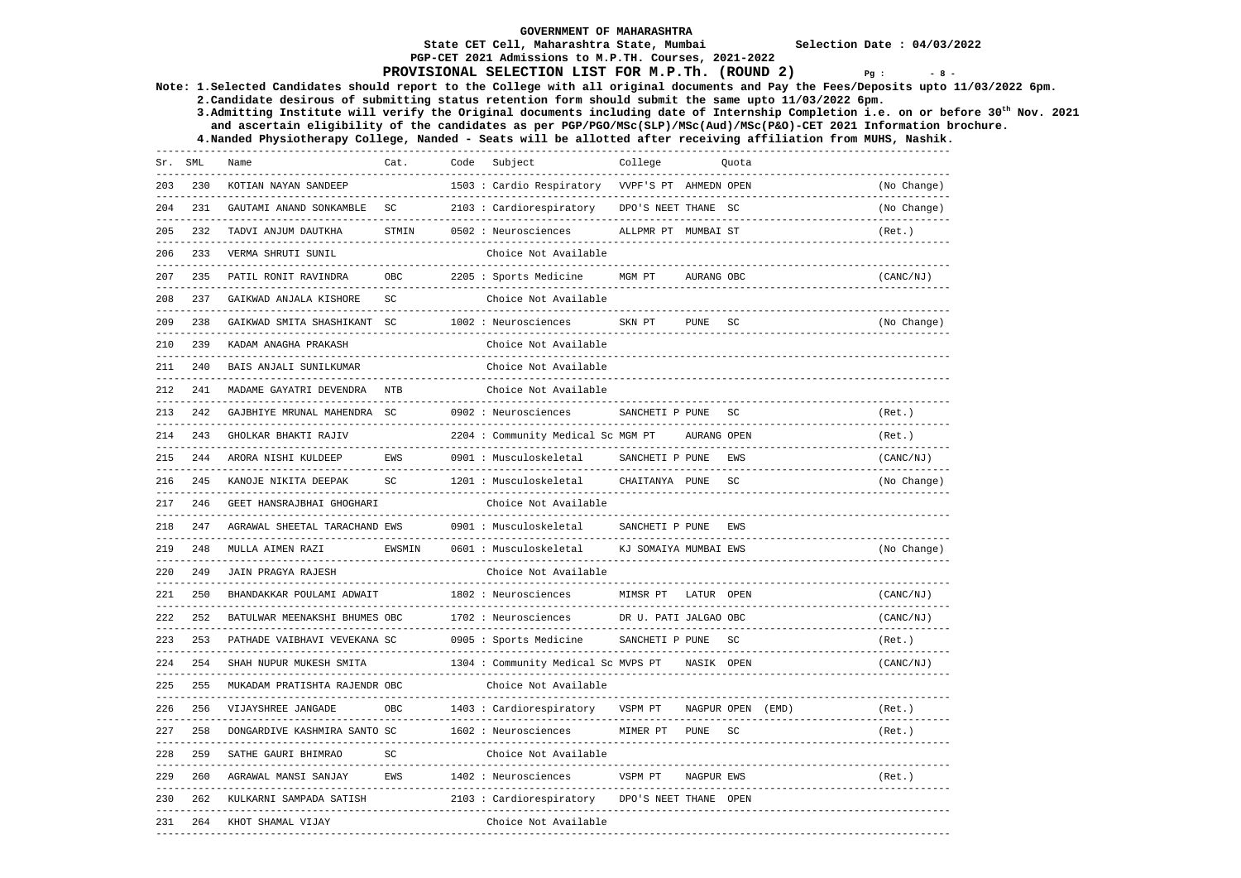## **PGP-CET 2021 Admissions to M.P.TH. Courses, 2021-2022 PROVISIONAL SELECTION LIST FOR M.P.Th. (ROUND 2)**  $Pq : 8 - 8 - 8$

**Note: 1.Selected Candidates should report to the College with all original documents and Pay the Fees/Deposits upto 11/03/2022 6pm.** 

 **2.Candidate desirous of submitting status retention form should submit the same upto 11/03/2022 6pm. 3.Admitting Institute will verify the Original documents including date of Internship Completion i.e. on or before 30th Nov. 2021 and ascertain eligibility of the candidates as per PGP/PGO/MSc(SLP)/MSc(Aud)/MSc(P&O)-CET 2021 Information brochure.** 

|     | Sr. SML           | Name                                                          | Cat.                                  | Code | Subject<br>-------------------------------------                | College                                             |                                         | Quota | ------------                         |             |
|-----|-------------------|---------------------------------------------------------------|---------------------------------------|------|-----------------------------------------------------------------|-----------------------------------------------------|-----------------------------------------|-------|--------------------------------------|-------------|
| 203 | 230               | KOTIAN NAYAN SANDEEP                                          |                                       |      | 1503 : Cardio Respiratory                                       | VVPF'S PT AHMEDN OPEN                               |                                         |       | ------------------------             | (No Change) |
| 204 | 231               | GAUTAMI ANAND SONKAMBLE                                       | $\operatorname{SC}$                   |      | 2103 : Cardiorespiratory                                        | DPO'S NEET THANE SC                                 |                                         |       |                                      | (No Change) |
| 205 | 232               | TADVI ANJUM DAUTKHA                                           | STMIN                                 |      | 0502 : Neurosciences                                            | ALLPMR PT MUMBAI ST<br>---------------------        |                                         |       |                                      | (Ret.)      |
| 206 | 233               | VERMA SHRUTI SUNIL                                            |                                       |      | Choice Not Available                                            |                                                     |                                         |       |                                      |             |
| 207 | 235               | PATIL RONIT RAVINDRA                                          | OBC                                   |      | 2205 : Sports Medicine                                          | MGM PT                                              | AURANG OBC<br>. _ _ _ _ _ _ _ _ _ _ _ _ |       |                                      | (CANC/NJ)   |
| 208 | 237               | GAIKWAD ANJALA KISHORE                                        | SC                                    |      | Choice Not Available                                            |                                                     |                                         |       |                                      |             |
| 209 | 238               | GAIKWAD SMITA SHASHIKANT SC                                   |                                       |      | 1002 : Neurosciences                                            | SKN PT                                              | <b>PUNE</b>                             | SC    |                                      | (No Change) |
| 210 | 239               | KADAM ANAGHA PRAKASH                                          |                                       |      | Choice Not Available                                            |                                                     |                                         |       |                                      |             |
| 211 | 240<br>---------- | BAIS ANJALI SUNILKUMAR                                        |                                       |      | Choice Not Available                                            |                                                     |                                         |       |                                      |             |
| 212 | 241               | MADAME GAYATRI DEVENDRA                                       | <b>NTB</b>                            |      | Choice Not Available<br>----------------------------            |                                                     |                                         |       |                                      |             |
| 213 | 242               | GAJBHIYE MRUNAL MAHENDRA SC                                   |                                       |      | 0902 : Neurosciences                                            | SANCHETI P PUNE                                     |                                         | SC    | -----------------                    | (Ret.)      |
| 214 | 243               | GHOLKAR BHAKTI RAJIV                                          |                                       |      | 2204 : Community Medical Sc MGM PT                              | --------------------------                          | AURANG OPEN                             |       |                                      | (Ret.)      |
| 215 | 244               | ARORA NISHI KULDEEP<br>-----------------------                | EWS<br>------------------------------ |      | 0901 : Musculoskeletal                                          | SANCHETI P PUNE<br>---------------------            |                                         | EWS   | ------------------------------------ | (CANC/NJ)   |
| 216 | 245               | KANOJE NIKITA DEEPAK                                          | $\operatorname{SC}$                   |      | 1201 : Musculoskeletal                                          | CHAITANYA PUNE                                      |                                         | SC    |                                      | (No Change) |
| 217 | 246               | GEET HANSRAJBHAI GHOGHARI                                     |                                       |      | Choice Not Available                                            |                                                     |                                         |       |                                      |             |
| 218 | 247               | AGRAWAL SHEETAL TARACHAND EWS<br>---------------------------- |                                       |      | 0901 : Musculoskeletal<br>------------------------------------- | SANCHETI P PUNE                                     |                                         | EWS   |                                      |             |
| 219 | 248               | MULLA AIMEN RAZI                                              | EWSMIN                                |      | 0601 : Musculoskeletal                                          | KJ SOMAIYA MUMBAI EWS                               |                                         |       |                                      | (No Change) |
| 220 | 249               | JAIN PRAGYA RAJESH                                            |                                       |      | Choice Not Available                                            |                                                     |                                         |       |                                      |             |
| 221 | 250               | BHANDAKKAR POULAMI ADWAIT                                     |                                       |      | 1802 : Neurosciences<br>-------------------------               | MIMSR PT                                            | LATUR OPEN                              |       |                                      | (CANC/NJ)   |
| 222 | 252               | BATULWAR MEENAKSHI BHUMES OBC                                 |                                       |      | 1702 : Neurosciences                                            | DR U. PATI JALGAO OBC                               |                                         |       |                                      | (CANC/NJ)   |
| 223 | 253               | PATHADE VAIBHAVI VEVEKANA SC                                  |                                       |      | 0905 : Sports Medicine                                          | SANCHETI P PUNE                                     |                                         | SC    |                                      | (Ret.)      |
| 224 | 254               | SHAH NUPUR MUKESH SMITA                                       |                                       |      | 1304 : Community Medical Sc MVPS PT                             |                                                     | NASIK OPEN                              |       |                                      | (CANC/NJ)   |
| 225 | 255               | MUKADAM PRATISHTA RAJENDR OBC                                 |                                       |      | Choice Not Available                                            |                                                     |                                         |       |                                      |             |
| 226 | 256               | VIJAYSHREE JANGADE                                            | OBC                                   |      | 1403 : Cardiorespiratory                                        | VSPM PT                                             | NAGPUR OPEN (EMD)                       |       |                                      | (Ret.)      |
| 227 | 258               | DONGARDIVE KASHMIRA SANTO SC                                  |                                       |      | 1602 : Neurosciences                                            | MIMER PT                                            | PUNE                                    | SC    |                                      | (Ret.)      |
| 228 | 259               | SATHE GAURI BHIMRAO                                           | $\operatorname{SC}$                   |      | Choice Not Available                                            |                                                     |                                         |       |                                      |             |
| 229 | 260               | AGRAWAL MANSI SANJAY                                          | EWS                                   |      | 1402 : Neurosciences                                            | VSPM PT                                             | NAGPUR EWS                              |       |                                      | (Ret.)      |
| 230 | 262               | KULKARNI SAMPADA SATISH                                       |                                       |      | 2103 : Cardiorespiratory                                        | --------------------------<br>DPO'S NEET THANE OPEN |                                         |       |                                      |             |
| 231 | 264               | KHOT SHAMAL VIJAY                                             |                                       |      | Choice Not Available                                            |                                                     |                                         |       |                                      |             |
|     |                   |                                                               |                                       |      |                                                                 |                                                     |                                         |       |                                      |             |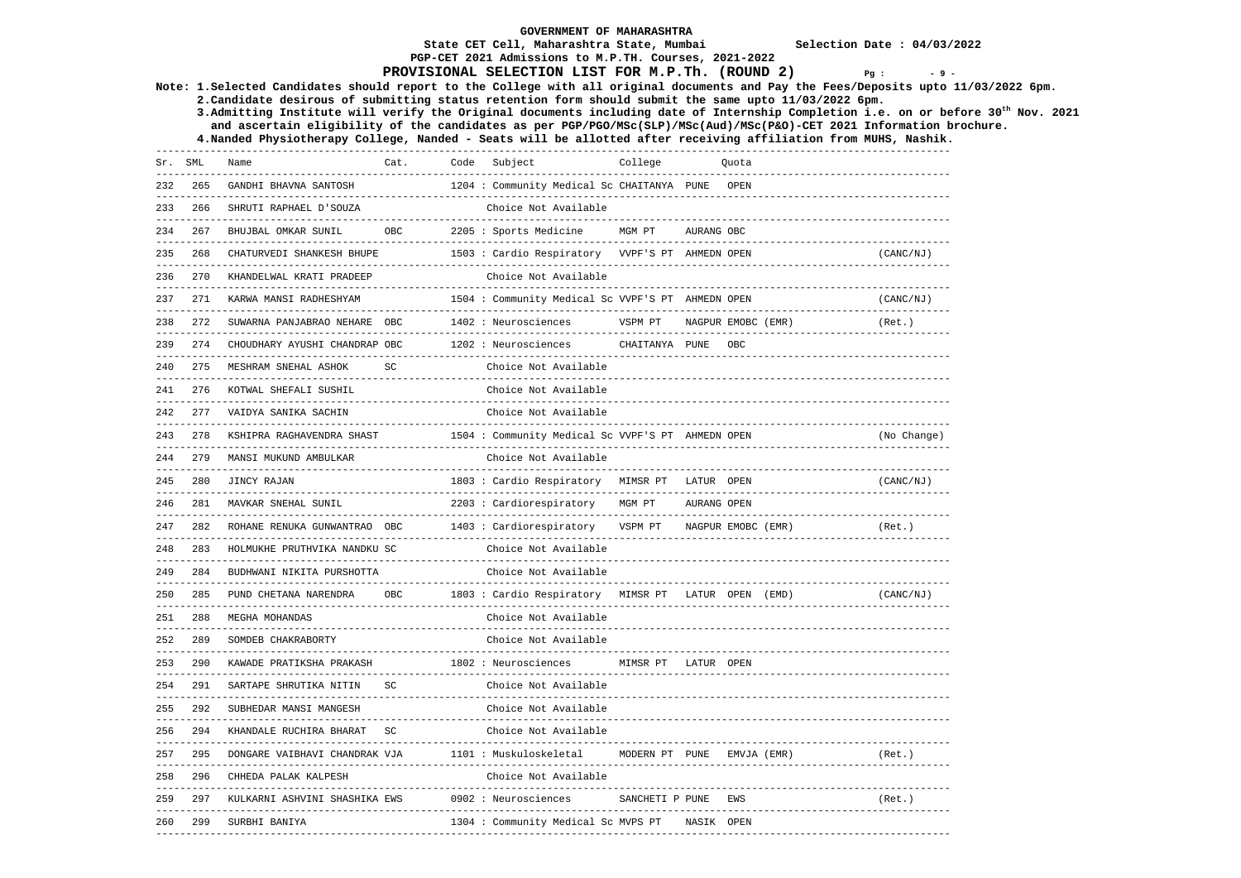# **PGP-CET 2021 Admissions to M.P.TH. Courses, 2021-2022**

### **PROVISIONAL SELECTION LIST FOR M.P.Th. (ROUND 2)** Pg:  $-9 - 9 = 9$

**Note: 1.Selected Candidates should report to the College with all original documents and Pay the Fees/Deposits upto 11/03/2022 6pm.** 

 **2.Candidate desirous of submitting status retention form should submit the same upto 11/03/2022 6pm. 3.Admitting Institute will verify the Original documents including date of Internship Completion i.e. on or before 30th Nov. 2021 and ascertain eligibility of the candidates as per PGP/PGO/MSc(SLP)/MSc(Aud)/MSc(P&O)-CET 2021 Information brochure.** 

 **4.Nanded Physiotherapy College, Nanded - Seats will be allotted after receiving affiliation from MUHS, Nashik.** 

------------------------------------------------------------------------------------------------------------------------------------ Sr. SML Name Cat. Code Subject College Quota ------------------------------------------------------------------------------------------------------------------------------------232 265 GANDHI BHAVNA SANTOSH 1204 : Community Medical Sc CHAITANYA PUNE OPEN ------------------------------------------------------------------------------------------------------------------------------------ 233 266 SHRUTI RAPHAEL D'SOUZA Choice Not Available ------------------------------------------------------------------------------------------------------------------------------------ 234 267 BHUJBAL OMKAR SUNIL OBC 2205 : Sports Medicine MGM PT AURANG OBC ------------------------------------------------------------------------------------------------------------------------------------ 235 268 CHATURVEDI SHANKESH BHUPE 1503 : Cardio Respiratory VVPF'S PT AHMEDN OPEN ------------------------------------------------------------------------------------------------------------------------------------ 236 270 KHANDELWAL KRATI PRADEEP Choice Not Available ------------------------------------------------------------------------------------------------------------------------------------ 237 271 KARWA MANSI RADHESHYAM 1504 : Community Medical Sc VVPF'S PT AHMEDN OPEN (CANC/NJ) ------------------------------------------------------------------------------------------------------------------------------------ 238 272 SUWARNA PANJABRAO NEHARE OBC 1402 : Neurosciences VSPM PT NAGPUR EMOBC (EMR) (Ret.) ------------------------------------------------------------------------------------------------------------------------------------ 239 274 CHOUDHARY AYUSHI CHANDRAP OBC 1202 : Neurosciences CHAITANYA PUNE OBC ------------------------------------------------------------------------------------------------------------------------------------ 240 275 MESHRAM SNEHAL ASHOK SC Choice Not Available ------------------------------------------------------------------------------------------------------------------------------------ 241 276 KOTWAL SHEFALI SUSHIL Choice Not Available ------------------------------------------------------------------------------------------------------------------------------------ 242 277 VAIDYA SANIKA SACHIN Choice Not Available ------------------------------------------------------------------------------------------------------------------------------------ 243 278 KSHIPRA RAGHAVENDRA SHAST 1504 : Community Medical Sc VVPF'S PT AHMEDN OPEN ------------------------------------------------------------------------------------------------------------------------------------ 244 279 MANSI MUKUND AMBULKAR Choice Not Available ------------------------------------------------------------------------------------------------------------------------------------ 245 280 JINCY RAJAN 1803 : Cardio Respiratory MIMSR PT LATUR OPEN (CANC/NJ) ------------------------------------------------------------------------------------------------------------------------------------ 246 281 MAVKAR SNEHAL SUNIL 2203 : Cardiorespiratory MGM PT AURANG OPEN ------------------------------------------------------------------------------------------------------------------------------------ 247 282 ROHANE RENUKA GUNWANTRAO OBC 1403 : Cardiorespiratory VSPM PT NAGPUR EMOBC (EMR) (Ret.) ------------------------------------------------------------------------------------------------------------------------------------ 248 283 HOLMUKHE PRUTHVIKA NANDKU SC Choice Not Available ------------------------------------------------------------------------------------------------------------------------------------ 249 284 BUDHWANI NIKITA PURSHOTTA Choice Not Available ------------------------------------------------------------------------------------------------------------------------------------ 250 285 PUND CHETANA NARENDRA OBC 1803 : Cardio Respiratory MIMSR PT LATUR OPEN (EMD) (CANC/NJ) ------------------------------------------------------------------------------------------------------------------------------------ 251 288 MEGHA MOHANDAS Choice Not Available ------------------------------------------------------------------------------------------------------------------------------------ 252 289 SOMDEB CHAKRABORTY Choice Not Available 253 290 KAWADE PRATIKSHA PRAKASH 1802 : Neurosciences MIMSR PT LATUR OPEN ------------------------------------------------------------------------------------------------------------------------------------ 254 291 SARTAPE SHRUTIKA NITIN SC Choice Not Available ------------------------------------------------------------------------------------------------------------------------------------ 255 292 SUBHEDAR MANSI MANGESH Choice Not Available ------------------------------------------------------------------------------------------------------------------------------------ 256 294 KHANDALE RUCHIRA BHARAT SC Choice Not Available ------------------------------------------------------------------------------------------------------------------------------------ 257 295 DONGARE VAIBHAVI CHANDRAK VJA 1101 : Muskuloskeletal MODERN PT PUNE EMVJA (EMR) (Ret.) ------------------------------------------------------------------------------------------------------------------------------------ 258 296 CHHEDA PALAK KALPESH Choice Not Available ------------------------------------------------------------------------------------------------------------------------------------ 259 297 KULKARNI ASHVINI SHASHIKA EWS 0902 : Neurosciences SANCHETI P PUNE EWS (Ret.) ------------------------------------------------------------------------------------------------------------------------------------ 260 299 SURBHI BANIYA 1304 : Community Medical Sc MVPS PT NASIK OPEN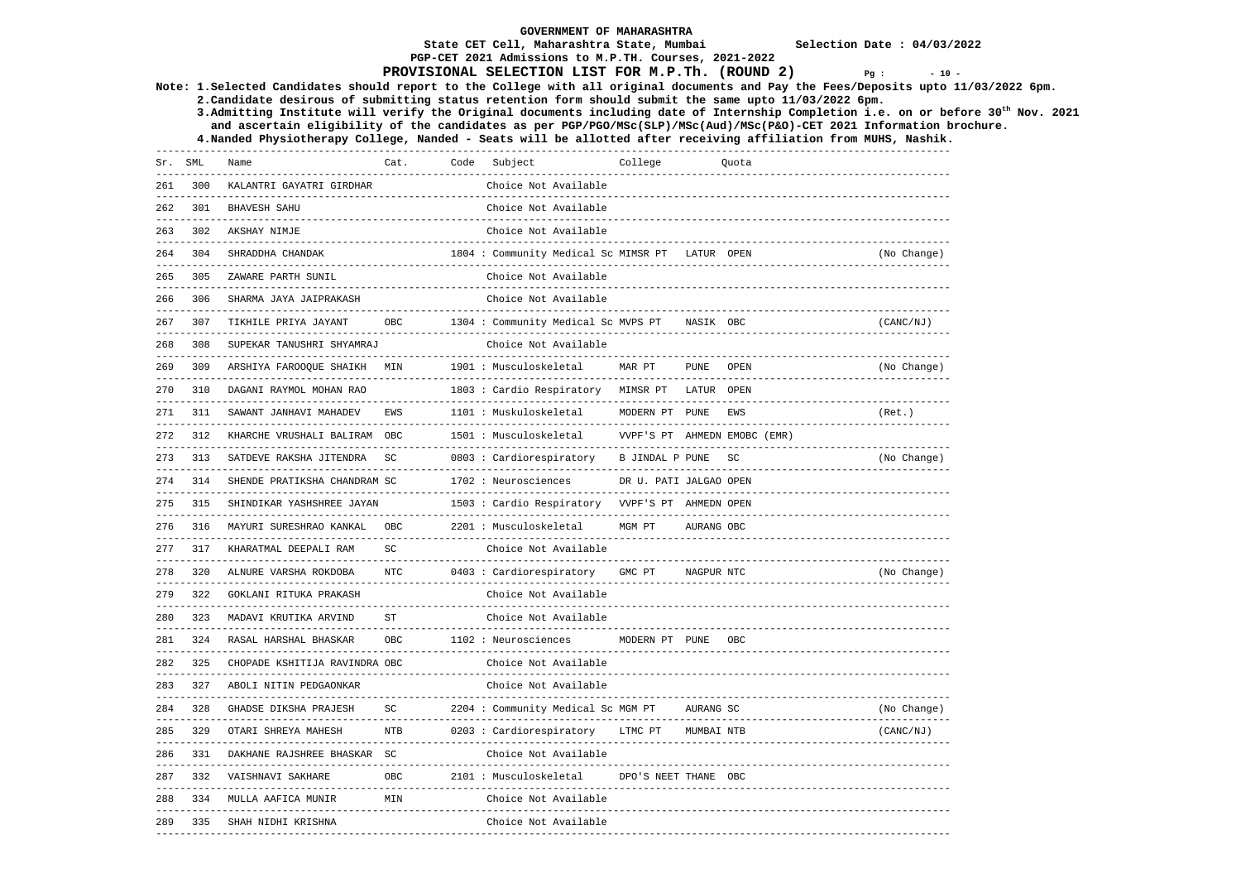## **PGP-CET 2021 Admissions to M.P.TH. Courses, 2021-2022 PROVISIONAL SELECTION LIST FOR M.P.Th. (ROUND 2)** Pg :  $-10 - 10$

**Note: 1.Selected Candidates should report to the College with all original documents and Pay the Fees/Deposits upto 11/03/2022 6pm.** 

 **2.Candidate desirous of submitting status retention form should submit the same upto 11/03/2022 6pm. 3.Admitting Institute will verify the Original documents including date of Internship Completion i.e. on or before 30th Nov. 2021 and ascertain eligibility of the candidates as per PGP/PGO/MSc(SLP)/MSc(Aud)/MSc(P&O)-CET 2021 Information brochure.** 

 **4.Nanded Physiotherapy College, Nanded - Seats will be allotted after receiving affiliation from MUHS, Nashik.** 

------------------------------------------------------------------------------------------------------------------------------------ Sr. SML Name Cat. Code Subject College Quota ------------------------------------------------------------------------------------------------------------------------------------261 300 KALANTRI GAYATRI GIRDHAR Choice Not Available ------------------------------------------------------------------------------------------------------------------------------------ 262 301 BHAVESH SAHU Choice Not Available ------------------------------------------------------------------------------------------------------------------------------------ 263 302 AKSHAY NIMJE Choice Not Available ------------------------------------------------------------------------------------------------------------------------------------ 264 304 SHRADDHA CHANDAK 1804 : Community Medical Sc MIMSR PT LATUR OPEN (No Change) ------------------------------------------------------------------------------------------------------------------------------------ 265 305 ZAWARE PARTH SUNTL Choice Not Available ------------------------------------------------------------------------------------------------------------------------------------ 266 306 SHARMA JAYA JAIPRAKASH Choice Not Available ------------------------------------------------------------------------------------------------------------------------------------ 267 307 TIKHILE PRIYA JAYANT OBC 1304 : Community Medical Sc MVPS PT NASIK OBC (CANC/NJ) ------------------------------------------------------------------------------------------------------------------------------------ 268 308 SUPEKAR TANUSHRI SHYAMRAJ Choice Not Available ------------------------------------------------------------------------------------------------------------------------------------ 269 309 ARSHIYA FAROOQUE SHAIKH MIN 1901 : Musculoskeletal MAR PT PUNE OPEN (No Change) ------------------------------------------------------------------------------------------------------------------------------------ 270 310 DAGANI RAYMOL MOHAN RAO 1803 : Cardio Respiratory MIMSR PT LATUR OPEN ------------------------------------------------------------------------------------------------------------------------------------ 271 311 SAWANT JANHAVI MAHADEV EWS 1101 : Muskuloskeletal MODERN PT PUNE EWS (Ret.) ------------------------------------------------------------------------------------------------------------------------------------ 272 312 KHARCHE VRUSHALI BALIRAM OBC 1501 : Musculoskeletal VVPF'S PT AHMEDN EMOBC (EMR) ------------------------------------------------------------------------------------------------------------------------------------ 273 313 SATDEVE RAKSHA JITENDRA SC 0803 : Cardiorespiratory B JINDAL P PUNE SC ------------------------------------------------------------------------------------------------------------------------------------ 274 314 SHENDE PRATIKSHA CHANDRAM SC 1702 : Neurosciences DR U. PATI JALGAO OPEN ------------------------------------------------------------------------------------------------------------------------------------ 275 315 SHINDIKAR YASHSHREE JAYAN 1503 : Cardio Respiratory VVPF'S PT AHMEDN OPEN ------------------------------------------------------------------------------------------------------------------------------------ 276 316 MAYURI SURESHRAO KANKAL OBC 2201 : Musculoskeletal MGM PT AURANG OBC ------------------------------------------------------------------------------------------------------------------------------------ 277 317 KHARATMAL DEEPALI RAM SC Choice Not Available ------------------------------------------------------------------------------------------------------------------------------------ 278 320 ALNURE VARSHA ROKDOBA NTC 0403 : Cardiorespiratory GMC PT NAGPUR NTC (No Change) ------------------------------------------------------------------------------------------------------------------------------------ 279 322 GOKLANI RITUKA PRAKASH Choice Not Available ------------------------------------------------------------------------------------------------------------------------------------ 280 323 MADAVI KRUTIKA ARVIND ST Choice Not Available ------------------------------------------------------------------------------------------------------------------------------------ 281 324 RASAL HARSHAL BHASKAR OBC 1102 : Neurosciences MODERN PT PUNE OBC 282 325 CHOPADE KSHITIJA RAVINDRA OBC Choice Not Available ------------------------------------------------------------------------------------------------------------------------------------ 283 327 ABOLI NITIN PEDGAONKAR Choice Not Available ------------------------------------------------------------------------------------------------------------------------------------ 284 328 GHADSE DIKSHA PRAJESH SC 2204 : Community Medical Sc MGM PT AURANG SC (No Change) ------------------------------------------------------------------------------------------------------------------------------------ 285 329 OTARI SHREYA MAHESH NTB 0203 : Cardiorespiratory LTMC PT MUMBAI NTB (CANC/NJ) ------------------------------------------------------------------------------------------------------------------------------------ 286 331 DAKHANE RAJSHREE BHASKAR SC Choice Not Available ------------------------------------------------------------------------------------------------------------------------------------ 287 332 VAISHNAVI SAKHARE OBC 2101 : Musculoskeletal DPO'S NEET THANE OBC ------------------------------------------------------------------------------------------------------------------------------------ 288 334 MULLA AAFICA MUNIR MIN Choice Not Available ------------------------------------------------------------------------------------------------------------------------------------ 289 335 SHAH NIDHI KRISHNA Choice Not Available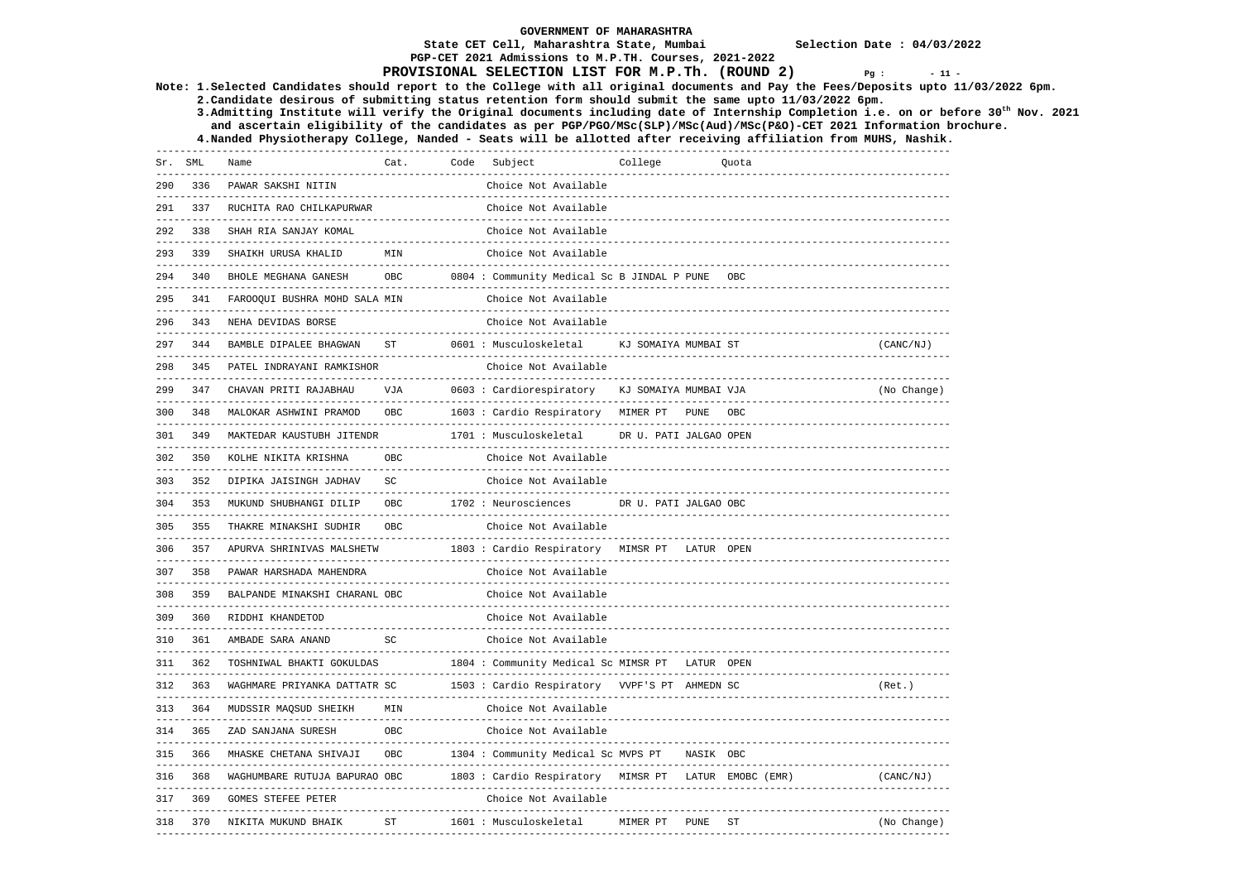**3.Admitting Institute will verify the Original documents including date of Internship Completion i.e. on or before 30th Nov. 2021 and ascertain eligibility of the candidates as per PGP/PGO/MSc(SLP)/MSc(Aud)/MSc(P&O)-CET 2021 Information brochure.** 

 **PGP-CET 2021 Admissions to M.P.TH. Courses, 2021-2022 PROVISIONAL SELECTION LIST FOR M.P.Th. (ROUND 2)** Pg :  $-11 -$ **Note: 1.Selected Candidates should report to the College with all original documents and Pay the Fees/Deposits upto 11/03/2022 6pm. 2.Candidate desirous of submitting status retention form should submit the same upto 11/03/2022 6pm. 4.Nanded Physiotherapy College, Nanded - Seats will be allotted after receiving affiliation from MUHS, Nashik.**  ------------------------------------------------------------------------------------------------------------------------------------ Sr. SML Name Cat. Code Subject College Quota ------------------------------------------------------------------------------------------------------------------------------------290 336 PAWAR SAKSHI NITIN Choice Not Available Choice Not Available ------------------------------------------------------------------------------------------------------------------------------------ 291 337 RUCHITA RAO CHILKAPURWAR Choice Not Available ------------------------------------------------------------------------------------------------------------------------------------ 292 338 SHAH RIA SANJAY KOMAL Choice Not Available ------------------------------------------------------------------------------------------------------------------------------------ 293 339 SHAIKH URUSA KHALID MIN Choice Not Available ------------------------------------------------------------------------------------------------------------------------------------ 294 340 BHOLE MEGHANA GANESH OBC 0804 : Community Medical Sc B JINDAL P PUNE OBC ------------------------------------------------------------------------------------------------------------------------------------ 295 341 FAROOQUI BUSHRA MOHD SALA MIN Choice Not Available ------------------------------------------------------------------------------------------------------------------------------------ 296 343 NEHA DEVIDAS BORSE Choice Not Available ------------------------------------------------------------------------------------------------------------------------------------ 297 344 BAMBLE DIPALEE BHAGWAN ST 0601 : Musculoskeletal KJ SOMAIYA MUMBAI ST ------------------------------------------------------------------------------------------------------------------------------------ 298 345 PATEL INDRAYANI RAMKISHOR Choice Not Available ------------------------------------------------------------------------------------------------------------------------------------ 299 347 CHAVAN PRITI RAJABHAU VJA 0603 : Cardiorespiratory KJ SOMAIYA MUMBAI VJA (No Change) ------------------------------------------------------------------------------------------------------------------------------------ 300 348 MALOKAR ASHWINI PRAMOD OBC 1603 : Cardio Respiratory MIMER PT PUNE OBC ------------------------------------------------------------------------------------------------------------------------------------ 301 349 MAKTEDAR KAUSTUBH JITENDR 1701 : Musculoskeletal DR U. PATI JALGAO OPEN ------------------------------------------------------------------------------------------------------------------------------------ 302 350 KOLHE NIKITA KRISHNA OBC Choice Not Available ------------------------------------------------------------------------------------------------------------------------------------ 303 352 DIPIKA JAISINGH JADHAV SC Choice Not Available ------------------------------------------------------------------------------------------------------------------------------------ 304 353 MUKUND SHUBHANGI DILIP OBC 1702 : Neurosciences DR U. PATI JALGAO OBC ------------------------------------------------------------------------------------------------------------------------------------ 305 355 THAKRE MINAKSHI SUDHIR OBC Choice Not Available ------------------------------------------------------------------------------------------------------------------------------------ 306 357 APURVA SHRINIVAS MALSHETW 1803 : Cardio Respiratory MIMSR PT LATUR OPEN ------------------------------------------------------------------------------------------------------------------------------------ 307 358 PAWAR HARSHADA MAHENDRA Choice Not Available

------------------------------------------------------------------------------------------------------------------------------------ 308 359 BALPANDE MINAKSHI CHARANL OBC Choice Not Available ------------------------------------------------------------------------------------------------------------------------------------ 309 360 RIDDHI KHANDETOD Choice Not Available ------------------------------------------------------------------------------------------------------------------------------------ 310 361 AMBADE SARA ANAND SC Choice Not Available ------------------------------------------------------------------------------------------------------------------------------------ 311 362 TOSHNIWAL BHAKTI GOKULDAS 1804 : Community Medical Sc MIMSR PT LATUR OPEN ------------------------------------------------------------------------------------------------------------------------------------ 312 363 WAGHMARE PRIYANKA DATTATR SC 1503 : Cardio Respiratory VVPF'S PT AHMEDN SC (Ret.) ------------------------------------------------------------------------------------------------------------------------------------ 313 364 MUDSSIR MAQSUD SHEIKH MIN Choice Not Available ------------------------------------------------------------------------------------------------------------------------------------ 314 365 ZAD SANJANA SURESH OBC Choice Not Available ------------------------------------------------------------------------------------------------------------------------------------ 315 366 MHASKE CHETANA SHIVAJI OBC 1304 : Community Medical Sc MVPS PT NASIK OBC ------------------------------------------------------------------------------------------------------------------------------------ 316 368 WAGHUMBARE RUTUJA BAPURAO OBC 1803 : Cardio Respiratory MIMSR PT LATUR EMOBC (EMR) (CANC/NJ) ------------------------------------------------------------------------------------------------------------------------------------ 317 369 GOMES STEFEE PETER Choice Not Available ------------------------------------------------------------------------------------------------------------------------------------

318 370 NIKITA MUKUND BHAIK ST 1601 : Musculoskeletal MIMER PT PUNE ST (No Change)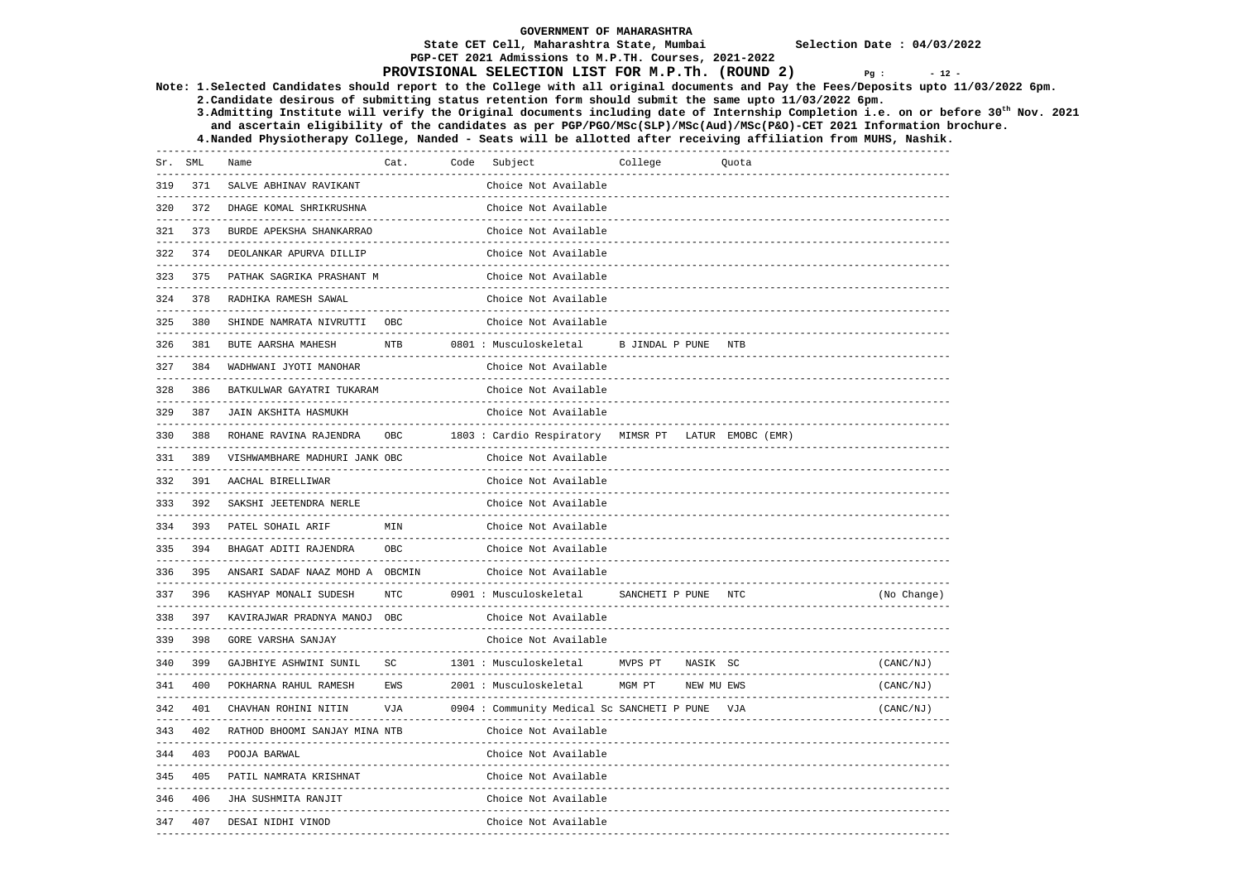## **PGP-CET 2021 Admissions to M.P.TH. Courses, 2021-2022 PROVISIONAL SELECTION LIST FOR M.P.Th. (ROUND 2)** Pg :  $-12 - 12$

**Note: 1.Selected Candidates should report to the College with all original documents and Pay the Fees/Deposits upto 11/03/2022 6pm.** 

 **2.Candidate desirous of submitting status retention form should submit the same upto 11/03/2022 6pm. 3.Admitting Institute will verify the Original documents including date of Internship Completion i.e. on or before 30th Nov. 2021** 

 **and ascertain eligibility of the candidates as per PGP/PGO/MSc(SLP)/MSc(Aud)/MSc(P&O)-CET 2021 Information brochure.** 

 **4.Nanded Physiotherapy College, Nanded - Seats will be allotted after receiving affiliation from MUHS, Nashik.** 

------------------------------------------------------------------------------------------------------------------------------------ Sr. SML Name Cat. Code Subject College Quota ------------------------------------------------------------------------------------------------------------------------------------319 371 SALVE ABHINAV RAVIKANT Choice Not Available ------------------------------------------------------------------------------------------------------------------------------------ 320 372 DHAGE KOMAL SHRIKRUSHNA Choice Not Available ------------------------------------------------------------------------------------------------------------------------------------ 321 373 BURDE APEKSHA SHANKARRAO Choice Not Available ------------------------------------------------------------------------------------------------------------------------------------ 322 374 DEOLANKAR APURVA DILLIP Choice Not Available ------------------------------------------------------------------------------------------------------------------------------------ 323 375 PATHAK SAGRIKA PRASHANT M Choice Not Available ------------------------------------------------------------------------------------------------------------------------------------ 324 378 RADHIKA RAMESH SAWAL Choice Not Available ------------------------------------------------------------------------------------------------------------------------------------ 325 380 SHINDE NAMRATA NIVRUTTI OBC Choice Not Available ------------------------------------------------------------------------------------------------------------------------------------ 326 381 BUTE AARSHA MAHESH NTB 0801 : Musculoskeletal B JINDAL P PUNE NTB ------------------------------------------------------------------------------------------------------------------------------------ 327 384 WADHWANI JYOTI MANOHAR Choice Not Available ------------------------------------------------------------------------------------------------------------------------------------ 328 386 BATKULWAR GAYATRI TUKARAM Choice Not Available ------------------------------------------------------------------------------------------------------------------------------------ 329 387 JAIN AKSHITA HASMUKH Choice Not Available ------------------------------------------------------------------------------------------------------------------------------------ 330 388 ROHANE RAVINA RAJENDRA OBC 1803 : Cardio Respiratory MIMSR PT LATUR EMOBC (EMR) ------------------------------------------------------------------------------------------------------------------------------------ 331 389 VISHWAMBHARE MADHURI JANK OBC Choice Not Available ------------------------------------------------------------------------------------------------------------------------------------ 332 391 AACHAL BIRELLIWAR Choice Not Available ------------------------------------------------------------------------------------------------------------------------------------ 333 392 SAKSHI JEETENDRA NERLE Choice Not Available ------------------------------------------------------------------------------------------------------------------------------------ 334 393 PATEL SOHAIL ARIF MIN Choice Not Available ------------------------------------------------------------------------------------------------------------------------------------ 335 394 BHAGAT ADITI RAJENDRA OBC Choice Not Available ------------------------------------------------------------------------------------------------------------------------------------ 336 395 ANSARI SADAF NAAZ MOHD A OBCMIN Choice Not Available ------------------------------------------------------------------------------------------------------------------------------------ 337 396 KASHYAP MONALI SUDESH NTC 0901 : Musculoskeletal SANCHETI P PUNE NTC (No Change) ------------------------------------------------------------------------------------------------------------------------------------ 338 397 KAVIRAJWAR PRADNYA MANOJ OBC Choice Not Available ------------------------------------------------------------------------------------------------------------------------------------ 339 398 GORE VARSHA SANJAY Choice Not Available 340 399 GAJBHIYE ASHWINI SUNIL SC 1301 : Musculoskeletal MVPS PT NASIK SC (CANC/NJ) ------------------------------------------------------------------------------------------------------------------------------------ 341 400 POKHARNA RAHUL RAMESH EWS 2001 : Musculoskeletal MGM PT NEW MU EWS (CANC/NJ) ------------------------------------------------------------------------------------------------------------------------------------ 342 401 CHAVHAN ROHINI NITIN VJA 0904 : Community Medical Sc SANCHETI P PUNE VJA (CANC/NJ)  $-1-\frac{1}{2}$ 343 402 RATHOD BHOOMI SANJAY MINA NTB Choice Not Available 344 403 POOJA BARWAL Choice Not Available ------------------------------------------------------------------------------------------------------------------------------------ 345 405 PATIL NAMRATA KRISHNAT Choice Not Available ------------------------------------------------------------------------------------------------------------------------------------ 346 406 JHA SUSHMITA RANJIT Choice Not Available ------------------------------------------------------------------------------------------------------------------------------------ 347 407 DESAI NIDHI VINOD Choice Not Available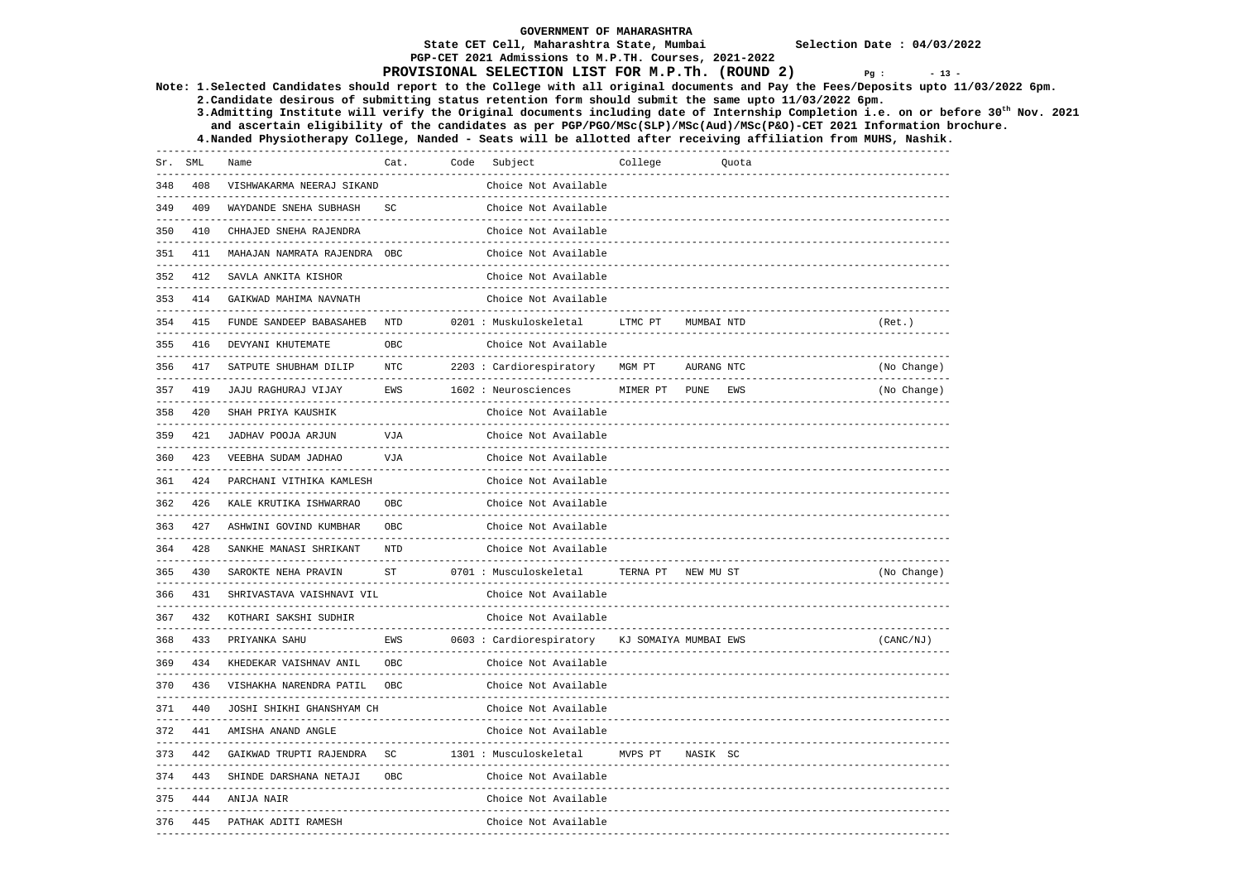# **PGP-CET 2021 Admissions to M.P.TH. Courses, 2021-2022**

## **PROVISIONAL SELECTION LIST FOR M.P.Th. (ROUND 2)**  $Pq$  :  $-13$  -

**Note: 1.Selected Candidates should report to the College with all original documents and Pay the Fees/Deposits upto 11/03/2022 6pm.** 

 **2.Candidate desirous of submitting status retention form should submit the same upto 11/03/2022 6pm. 3.Admitting Institute will verify the Original documents including date of Internship Completion i.e. on or before 30th Nov. 2021 and ascertain eligibility of the candidates as per PGP/PGO/MSc(SLP)/MSc(Aud)/MSc(P&O)-CET 2021 Information brochure.** 

| Sr. SML |     | Name                                                | Cat.                 | Code | Subject<br>------------                                   | College                                    |            | Quota |                         |
|---------|-----|-----------------------------------------------------|----------------------|------|-----------------------------------------------------------|--------------------------------------------|------------|-------|-------------------------|
| 348     | 408 | VISHWAKARMA NEERAJ SIKAND                           |                      |      | Choice Not Available                                      |                                            |            |       |                         |
| 349     | 409 | WAYDANDE SNEHA SUBHASH                              | SC                   |      | Choice Not Available                                      |                                            |            |       |                         |
| 350     | 410 | CHHAJED SNEHA RAJENDRA                              |                      |      | Choice Not Available                                      |                                            |            |       |                         |
| 351     | 411 | MAHAJAN NAMRATA RAJENDRA OBC                        |                      |      | Choice Not Available                                      |                                            |            |       |                         |
| 352     | 412 | SAVLA ANKITA KISHOR                                 |                      |      | Choice Not Available                                      |                                            |            |       |                         |
| 353     | 414 | GAIKWAD MAHIMA NAVNATH                              |                      |      | Choice Not Available                                      |                                            |            |       |                         |
| 354     | 415 | FUNDE SANDEEP BABASAHEB                             | <b>NTD</b>           |      | 0201 : Muskuloskeletal                                    | LTMC PT                                    | MUMBAI NTD |       | (Ret.)                  |
| 355     | 416 | DEVYANI KHUTEMATE<br>----------------               | OBC                  |      | Choice Not Available                                      |                                            |            |       |                         |
| 356     | 417 | SATPUTE SHUBHAM DILIP                               | NTC                  |      | 2203 : Cardiorespiratory                                  | MGM PT                                     | AURANG NTC |       | (No Change)<br>-------- |
| 357     | 419 | JAJU RAGHURAJ VIJAY                                 | EWS                  |      | 1602 : Neurosciences                                      | MIMER PT                                   | PUNE       | EWS   | (No Change)             |
| 358     | 420 | SHAH PRIYA KAUSHIK<br>---------------------         |                      |      | Choice Not Available                                      |                                            |            |       |                         |
| 359     | 421 | JADHAV POOJA ARJUN                                  | VJA                  |      | Choice Not Available                                      |                                            |            |       |                         |
| 360     | 423 | VEEBHA SUDAM JADHAO                                 | VJA                  |      | Choice Not Available                                      |                                            |            |       |                         |
| 361     | 424 | PARCHANI VITHIKA KAMLESH                            |                      |      | Choice Not Available                                      |                                            |            |       |                         |
| 362     | 426 | KALE KRUTIKA ISHWARRAO<br>------------------------- | OBC<br>$- - - - - -$ |      | Choice Not Available<br>______________________________    |                                            |            |       |                         |
| 363     | 427 | ASHWINI GOVIND KUMBHAR<br>------------              | OBC                  |      | Choice Not Available                                      |                                            |            |       |                         |
| 364     | 428 | SANKHE MANASI SHRIKANT                              | <b>NTD</b>           |      | Choice Not Available                                      |                                            |            |       |                         |
| 365     | 430 | SAROKTE NEHA PRAVIN                                 | ${\tt ST}$           |      | 0701 : Musculoskeletal                                    | TERNA PT                                   | NEW MU ST  |       | (No Change)             |
| 366     | 431 | SHRIVASTAVA VAISHNAVI VIL                           |                      |      | Choice Not Available<br>----------------------------      |                                            |            |       |                         |
| 367     | 432 | KOTHARI SAKSHI SUDHIR<br>-------------              |                      |      | Choice Not Available<br>--------------------------------  |                                            |            |       |                         |
| 368     | 433 | PRIYANKA SAHU<br>---------------                    | EWS<br>------        |      | 0603 : Cardiorespiratory<br>-----------------------       | KJ SOMAIYA MUMBAI EWS                      |            |       | (CANC/NJ)               |
| 369     | 434 | KHEDEKAR VAISHNAV ANIL                              | OBC                  |      | Choice Not Available<br>---------------------------       |                                            |            |       |                         |
| 370     | 436 | VISHAKHA NARENDRA PATIL                             | OBC                  |      | Choice Not Available<br>______________________            |                                            |            |       |                         |
| 371     | 440 | JOSHI SHIKHI GHANSHYAM CH                           |                      |      | Choice Not Available<br>------------------------          |                                            |            |       |                         |
| 372     | 441 | AMISHA ANAND ANGLE                                  |                      |      | Choice Not Available                                      |                                            |            |       |                         |
| 373     | 442 | GAIKWAD TRUPTI RAJENDRA                             | SC                   |      | -------------------------------<br>1301 : Musculoskeletal | -------------------------------<br>MVPS PT | NASIK SC   |       |                         |
| 374     | 443 | SHINDE DARSHANA NETAJI<br>-------------             | OBC                  |      | Choice Not Available<br>----------------------            |                                            |            |       |                         |
| 375     | 444 | ANIJA NAIR                                          |                      |      | Choice Not Available                                      |                                            |            |       |                         |
| 376     | 445 | PATHAK ADITI RAMESH                                 |                      |      | Choice Not Available                                      |                                            |            |       |                         |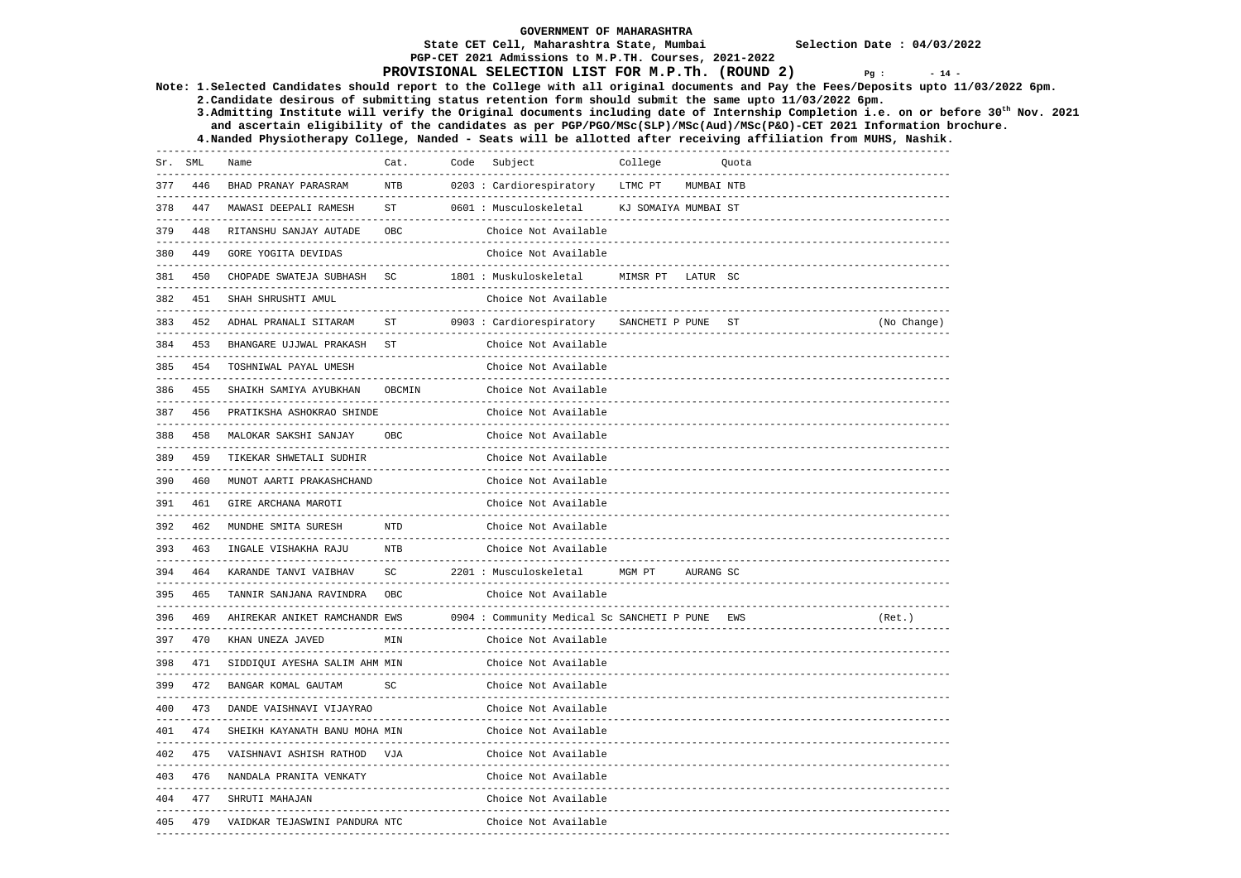### **PGP-CET 2021 Admissions to M.P.TH. Courses, 2021-2022**

### **PROVISIONAL SELECTION LIST FOR M.P.Th. (ROUND 2)** Pg :  $-14 - 14 = 14$

**Note: 1.Selected Candidates should report to the College with all original documents and Pay the Fees/Deposits upto 11/03/2022 6pm.** 

 **2.Candidate desirous of submitting status retention form should submit the same upto 11/03/2022 6pm. 3.Admitting Institute will verify the Original documents including date of Internship Completion i.e. on or before 30th Nov. 2021 and ascertain eligibility of the candidates as per PGP/PGO/MSc(SLP)/MSc(Aud)/MSc(P&O)-CET 2021 Information brochure.** 

 **4.Nanded Physiotherapy College, Nanded - Seats will be allotted after receiving affiliation from MUHS, Nashik.** 

------------------------------------------------------------------------------------------------------------------------------------ Sr. SML Name Cat. Code Subject College Quota ------------------------------------------------------------------------------------------------------------------------------------377 446 BHAD PRANAY PARASRAM NTB 0203 : Cardiorespiratory LTMC PT MUMBAI NTB ------------------------------------------------------------------------------------------------------------------------------------ 378 447 MAWASI DEEPALI RAMESH ST 0601 : Musculoskeletal KJ SOMAIYA MUMBAI ST ------------------------------------------------------------------------------------------------------------------------------------ 379 448 RITANSHU SANJAY AUTADE OBC Choice Not Available ------------------------------------------------------------------------------------------------------------------------------------ 380 449 GORE YOGITA DEVIDAS Choice Not Available ------------------------------------------------------------------------------------------------------------------------------------ 381 450 CHOPADE SWATEJA SUBHASH SC 1801 : Muskuloskeletal MIMSR PT LATUR SC ------------------------------------------------------------------------------------------------------------------------------------ 382 451 SHAH SHRUSHTI AMUL Choice Not Available ------------------------------------------------------------------------------------------------------------------------------------ 383 452 ADHAL PRANALI SITARAM ST 0903 : Cardiorespiratory SANCHETI P PUNE ST (No Change) ------------------------------------------------------------------------------------------------------------------------------------ 384 453 BHANGARE UJJWAL PRAKASH ST Choice Not Available ------------------------------------------------------------------------------------------------------------------------------------ 385 454 TOSHNIWAL PAYAL UMESH Choice Not Available ------------------------------------------------------------------------------------------------------------------------------------ 386 455 SHAIKH SAMIYA AYUBKHAN OBCMIN Choice Not Available ------------------------------------------------------------------------------------------------------------------------------------ 387 456 PRATIKSHA ASHOKRAO SHINDE Choice Not Available ------------------------------------------------------------------------------------------------------------------------------------ 388 458 MALOKAR SAKSHI SANJAY OBC Choice Not Available ------------------------------------------------------------------------------------------------------------------------------------ 389 459 TIKEKAR SHWETALI SUDHIR Choice Not Available ------------------------------------------------------------------------------------------------------------------------------------ 390 460 MUNOT AARTI PRAKASHCHAND Choice Not Available ------------------------------------------------------------------------------------------------------------------------------------ 391 461 GIRE ARCHANA MAROTI Choice Not Available ------------------------------------------------------------------------------------------------------------------------------------ 392 462 MUNDHE SMITA SURESH NTD Choice Not Available ------------------------------------------------------------------------------------------------------------------------------------ 393 463 INGALE VISHAKHA RAJU NTB Choice Not Available ------------------------------------------------------------------------------------------------------------------------------------ 394 464 KARANDE TANVI VAIBHAV SC 2201 : Musculoskeletal MGM PT AURANG SC ------------------------------------------------------------------------------------------------------------------------------------ 395 465 TANNIR SANJANA RAVINDRA OBC Choice Not Available ------------------------------------------------------------------------------------------------------------------------------------ 396 469 AHIREKAR ANIKET RAMCHANDR EWS 0904 : Community Medical Sc SANCHETI P PUNE EWS (Ret.) ------------------------------------------------------------------------------------------------------------------------------------ 397 470 KHAN UNEZA JAVED MIN Choice Not Available 398 471 SIDDIQUI AYESHA SALIM AHM MIN Choice Not Available ------------------------------------------------------------------------------------------------------------------------------------ 399 472 BANGAR KOMAL GAUTAM SC Choice Not Available ------------------------------------------------------------------------------------------------------------------------------------ 400 473 DANDE VAISHNAVI VIJAYRAO Choice Not Available  $-1-\frac{1}{2}$ 401 474 SHEIKH KAYANATH BANU MOHA MIN Choice Not Available ------------------------------------------------------------------------------------------------------------------------------------ 402 475 VAISHNAVI ASHISH RATHOD VJA Choice Not Available ------------------------------------------------------------------------------------------------------------------------------------ 403 476 NANDALA PRANITA VENKATY Choice Not Available ------------------------------------------------------------------------------------------------------------------------------------ 404 477 SHRUTI MAHAJAN Choice Not Available ------------------------------------------------------------------------------------------------------------------------------------ 405 479 VAIDKAR TEJASWINI PANDURA NTC Choice Not Available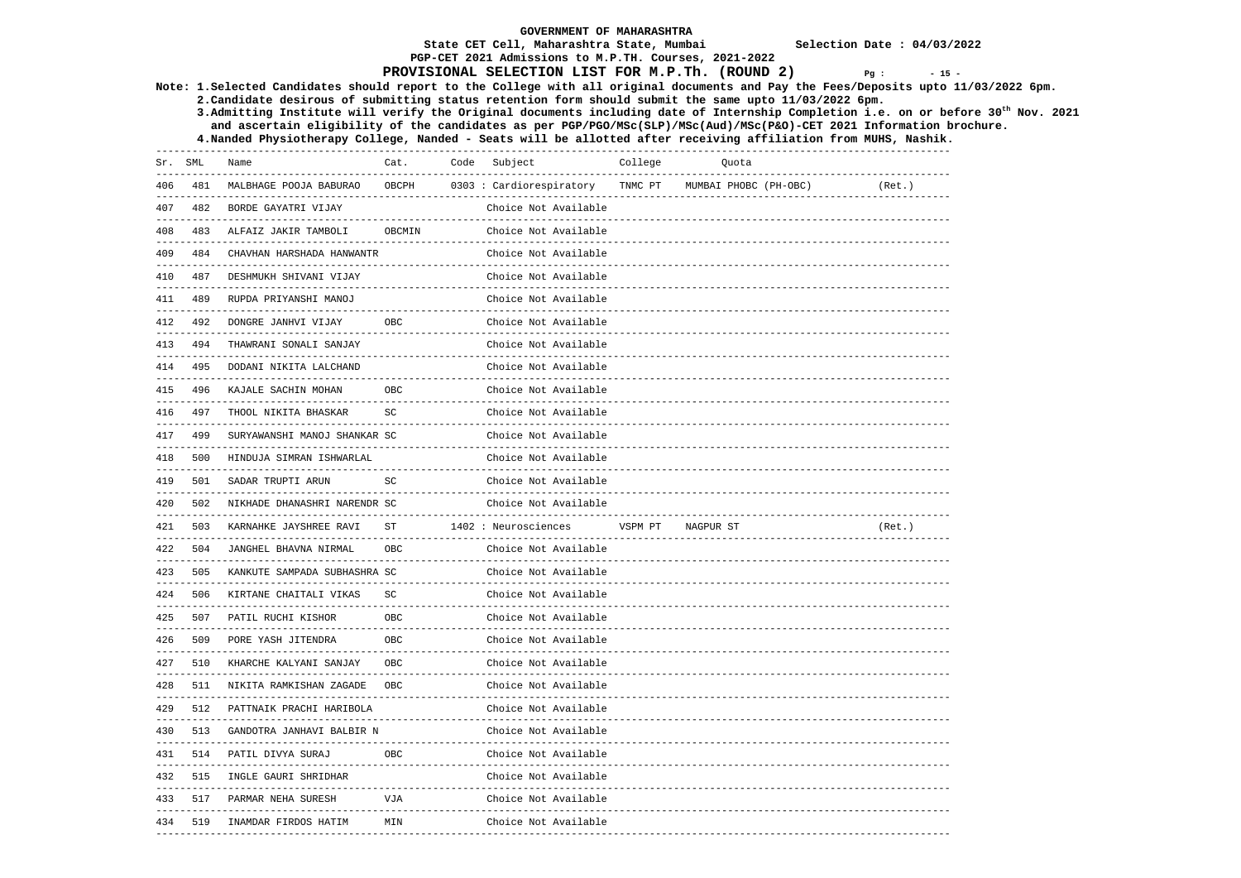**State CET Cell, Maharashtra State, Mumbai Selection Date : 04/03/2022** 

## **PGP-CET 2021 Admissions to M.P.TH. Courses, 2021-2022 PROVISIONAL SELECTION LIST FOR M.P.Th. (ROUND 2)**  $Pq : 15 - 15$

**Note: 1.Selected Candidates should report to the College with all original documents and Pay the Fees/Deposits upto 11/03/2022 6pm.** 

 **2.Candidate desirous of submitting status retention form should submit the same upto 11/03/2022 6pm. 3.Admitting Institute will verify the Original documents including date of Internship Completion i.e. on or before 30th Nov. 2021 and ascertain eligibility of the candidates as per PGP/PGO/MSc(SLP)/MSc(Aud)/MSc(P&O)-CET 2021 Information brochure.** 

|     | Sr. SML            | Name                                                                 | Cat.                      | Code Subject<br>------------------                           | College  | Quota                                  |        |
|-----|--------------------|----------------------------------------------------------------------|---------------------------|--------------------------------------------------------------|----------|----------------------------------------|--------|
| 406 | 481                | MALBHAGE POOJA BABURAO                                               | OBCPH                     | 0303 : Cardiorespiratory                                     | TNMC PT  | MUMBAI PHOBC (PH-OBC)                  | (Ret.) |
| 407 | 482                | BORDE GAYATRI VIJAY                                                  |                           | Choice Not Available                                         |          |                                        |        |
| 408 | 483                | ALFAIZ JAKIR TAMBOLI                                                 | OBCMIN                    | Choice Not Available                                         |          |                                        |        |
| 409 | 484                | CHAVHAN HARSHADA HANWANTR                                            |                           | Choice Not Available                                         |          |                                        |        |
| 410 | 487                | DESHMUKH SHIVANI VIJAY                                               |                           | Choice Not Available                                         |          |                                        |        |
| 411 | 489                | RUPDA PRIYANSHI MANOJ                                                |                           | Choice Not Available                                         |          |                                        |        |
| 412 | 492                | DONGRE JANHVI VIJAY                                                  | <b>OBC</b>                | Choice Not Available                                         |          |                                        |        |
| 413 | 494                | THAWRANI SONALI SANJAY                                               |                           | Choice Not Available                                         |          |                                        |        |
| 414 | 495                | DODANI NIKITA LALCHAND<br>-------------------------------------      |                           | Choice Not Available                                         |          |                                        |        |
| 415 | 496                | KAJALE SACHIN MOHAN                                                  | OBC                       | Choice Not Available                                         |          |                                        |        |
| 416 | 497                | THOOL NIKITA BHASKAR                                                 | SC                        | Choice Not Available                                         |          |                                        |        |
| 417 | 499                | SURYAWANSHI MANOJ SHANKAR SC                                         |                           | Choice Not Available                                         |          |                                        |        |
| 418 | 500                | HINDUJA SIMRAN ISHWARLAL                                             |                           | Choice Not Available                                         |          |                                        |        |
| 419 | 501                | SADAR TRUPTI ARUN                                                    | SC                        | Choice Not Available                                         |          |                                        |        |
| 420 | 502                | ____________________________________<br>NIKHADE DHANASHRI NARENDR SC |                           | Choice Not Available                                         |          |                                        |        |
| 421 | 503                | KARNAHKE JAYSHREE RAVI                                               | ST                        | ---------------------------------<br>1402 : Neurosciences    | VSPM PT  | NAGPUR ST                              | (Ret.) |
| 422 | 504                | JANGHEL BHAVNA NIRMAL                                                | OBC:                      | -----------------------------------<br>Choice Not Available  | -------- |                                        |        |
| 423 | 505                | KANKUTE SAMPADA SUBHASHRA SC                                         |                           | Choice Not Available                                         |          |                                        |        |
| 424 | 506                | -------------------------------------<br>KIRTANE CHAITALI VIKAS      | SC                        | ------------------------------------<br>Choice Not Available |          |                                        |        |
| 425 | 507                | ------------------------------------<br>PATIL RUCHI KISHOR           | OBC                       | ---------------------------------<br>Choice Not Available    |          | -----------------------------          |        |
| 426 | 509                | ----------------------------------<br>PORE YASH JITENDRA             | OBC                       | Choice Not Available                                         |          |                                        |        |
| 427 | -----------<br>510 | --------------------<br>KHARCHE KALYANI SANJAY                       | $- - - - -$<br>OBC        | Choice Not Available                                         |          |                                        |        |
| 428 |                    | 511 NIKITA RAMKISHAN ZAGADE                                          | <b>OBC</b>                | Choice Not Available                                         |          |                                        |        |
| 429 | 512                | ------------------------------------<br>PATTNAIK PRACHI HARIBOLA     |                           | --------------------------------<br>Choice Not Available     |          |                                        |        |
| 430 | 513                | GANDOTRA JANHAVI BALBIR N                                            |                           | Choice Not Available                                         |          |                                        |        |
| 431 |                    | 514 PATIL DIVYA SURAJ                                                | OBC                       | Choice Not Available                                         |          |                                        |        |
| 432 |                    | 515 INGLE GAURI SHRIDHAR                                             | ------------------------- | Choice Not Available                                         |          |                                        |        |
| 433 | 517                | PARMAR NEHA SURESH                                                   | VJA                       | Choice Not Available                                         |          | -------------------------------------- |        |
| 434 | 519                | ------------------------------<br>INAMDAR FIRDOS HATIM               | -----------------<br>MIN  | Choice Not Available                                         |          | ---------------------------            |        |
|     |                    |                                                                      | ---------------           | --------------------------                                   |          |                                        |        |